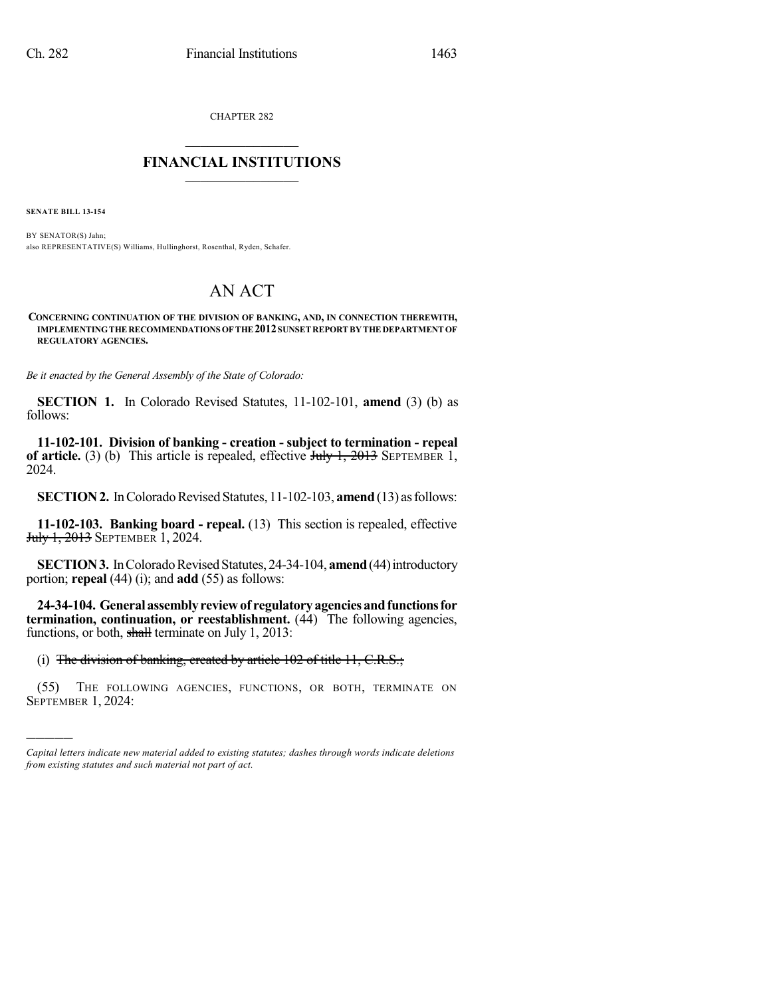CHAPTER 282

## $\mathcal{L}_\text{max}$  . The set of the set of the set of the set of the set of the set of the set of the set of the set of the set of the set of the set of the set of the set of the set of the set of the set of the set of the set **FINANCIAL INSTITUTIONS**  $\frac{1}{2}$  ,  $\frac{1}{2}$  ,  $\frac{1}{2}$  ,  $\frac{1}{2}$  ,  $\frac{1}{2}$  ,  $\frac{1}{2}$  ,  $\frac{1}{2}$

**SENATE BILL 13-154**

)))))

BY SENATOR(S) Jahn; also REPRESENTATIVE(S) Williams, Hullinghorst, Rosenthal, Ryden, Schafer.

## AN ACT

**CONCERNING CONTINUATION OF THE DIVISION OF BANKING, AND, IN CONNECTION THEREWITH, IMPLEMENTINGTHE RECOMMENDATIONS OF THE 2012SUNSET REPORT BY THE DEPARTMENT OF REGULATORY AGENCIES.**

*Be it enacted by the General Assembly of the State of Colorado:*

**SECTION 1.** In Colorado Revised Statutes, 11-102-101, **amend** (3) (b) as follows:

**11-102-101. Division of banking - creation - subject to termination - repeal of article.** (3) (b) This article is repealed, effective  $\frac{\text{H}_1 \cdot \text{H}_2}{\text{H}_1 \cdot \text{H}_2}$  SEPTEMBER 1, 2024.

**SECTION 2.** In Colorado Revised Statutes, 11-102-103, **amend** (13) as follows:

**11-102-103. Banking board - repeal.** (13) This section is repealed, effective **July 1, 2013** SEPTEMBER 1, 2024.

**SECTION 3.** In Colorado Revised Statutes, 24-34-104, **amend** (44) introductory portion; **repeal** (44) (i); and **add** (55) as follows:

**24-34-104. Generalassemblyreviewof regulatoryagenciesandfunctionsfor termination, continuation, or reestablishment.** (44) The following agencies, functions, or both, shall terminate on July 1, 2013:

(i) The division of banking, created by article 102 of title 11, C.R.S.;

(55) THE FOLLOWING AGENCIES, FUNCTIONS, OR BOTH, TERMINATE ON SEPTEMBER 1, 2024:

*Capital letters indicate new material added to existing statutes; dashes through words indicate deletions from existing statutes and such material not part of act.*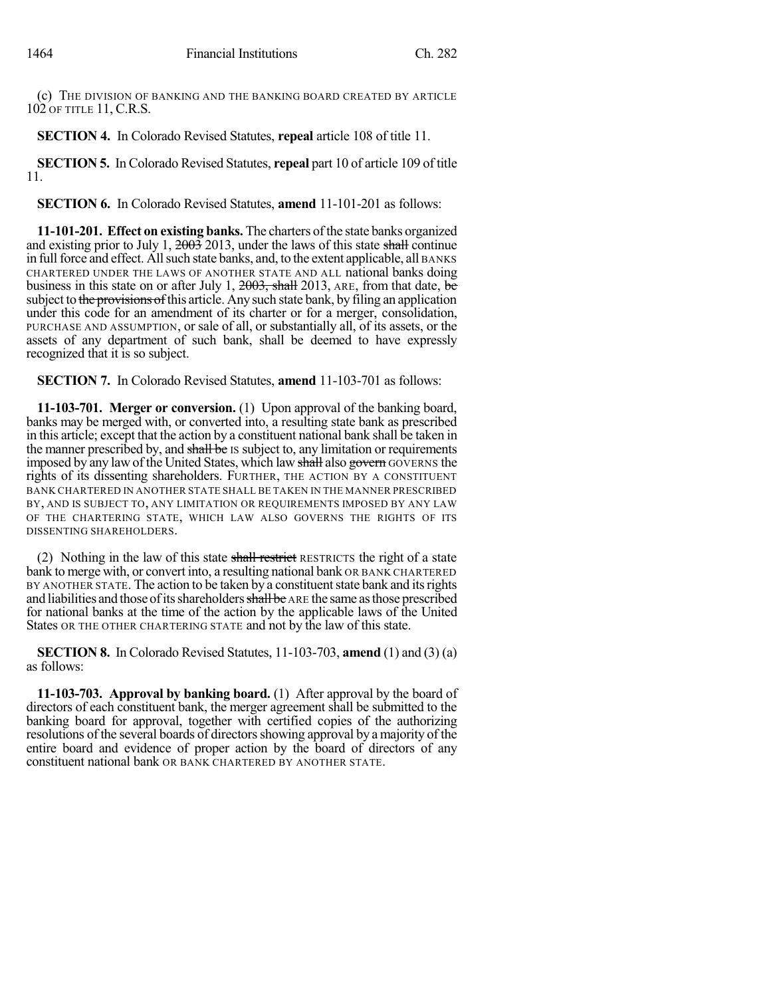(c) THE DIVISION OF BANKING AND THE BANKING BOARD CREATED BY ARTICLE 102 OF TITLE 11, C.R.S.

**SECTION 4.** In Colorado Revised Statutes, **repeal** article 108 of title 11.

**SECTION 5.** In Colorado Revised Statutes, **repeal** part 10 of article 109 of title 11.

**SECTION 6.** In Colorado Revised Statutes, **amend** 11-101-201 as follows:

**11-101-201. Effect on existing banks.** The charters of the state banks organized and existing prior to July 1,  $200\frac{3}{2}$  2013, under the laws of this state shall continue in full force and effect. All such state banks, and, to the extent applicable, all BANKS CHARTERED UNDER THE LAWS OF ANOTHER STATE AND ALL national banks doing business in this state on or after July 1,  $2003$ , shall 2013, ARE, from that date, be subject to the provisions of this article. Any such state bank, by filing an application under this code for an amendment of its charter or for a merger, consolidation, PURCHASE AND ASSUMPTION, or sale of all, or substantially all, of its assets, or the assets of any department of such bank, shall be deemed to have expressly recognized that it is so subject.

**SECTION 7.** In Colorado Revised Statutes, **amend** 11-103-701 as follows:

**11-103-701. Merger or conversion.** (1) Upon approval of the banking board, banks may be merged with, or converted into, a resulting state bank as prescribed in this article; except that the action by a constituent national bank shall be taken in the manner prescribed by, and shall be IS subject to, any limitation or requirements imposed by any law of the United States, which law shall also govern GOVERNS the rights of its dissenting shareholders. FURTHER, THE ACTION BY A CONSTITUENT BANK CHARTERED IN ANOTHER STATE SHALL BE TAKEN IN THE MANNER PRESCRIBED BY, AND IS SUBJECT TO, ANY LIMITATION OR REQUIREMENTS IMPOSED BY ANY LAW OF THE CHARTERING STATE, WHICH LAW ALSO GOVERNS THE RIGHTS OF ITS DISSENTING SHAREHOLDERS.

(2) Nothing in the law of this state shall restrict RESTRICTS the right of a state bank to merge with, or convert into, a resulting national bank OR BANK CHARTERED BY ANOTHER STATE. The action to be taken by a constituent state bank and its rights and liabilities and those of its shareholders shall be ARE the same as those prescribed for national banks at the time of the action by the applicable laws of the United States OR THE OTHER CHARTERING STATE and not by the law of this state.

**SECTION 8.** In Colorado Revised Statutes, 11-103-703, **amend** (1) and (3) (a) as follows:

**11-103-703. Approval by banking board.** (1) After approval by the board of directors of each constituent bank, the merger agreement shall be submitted to the banking board for approval, together with certified copies of the authorizing resolutions of the several boards of directors showing approval by a majority of the entire board and evidence of proper action by the board of directors of any constituent national bank OR BANK CHARTERED BY ANOTHER STATE.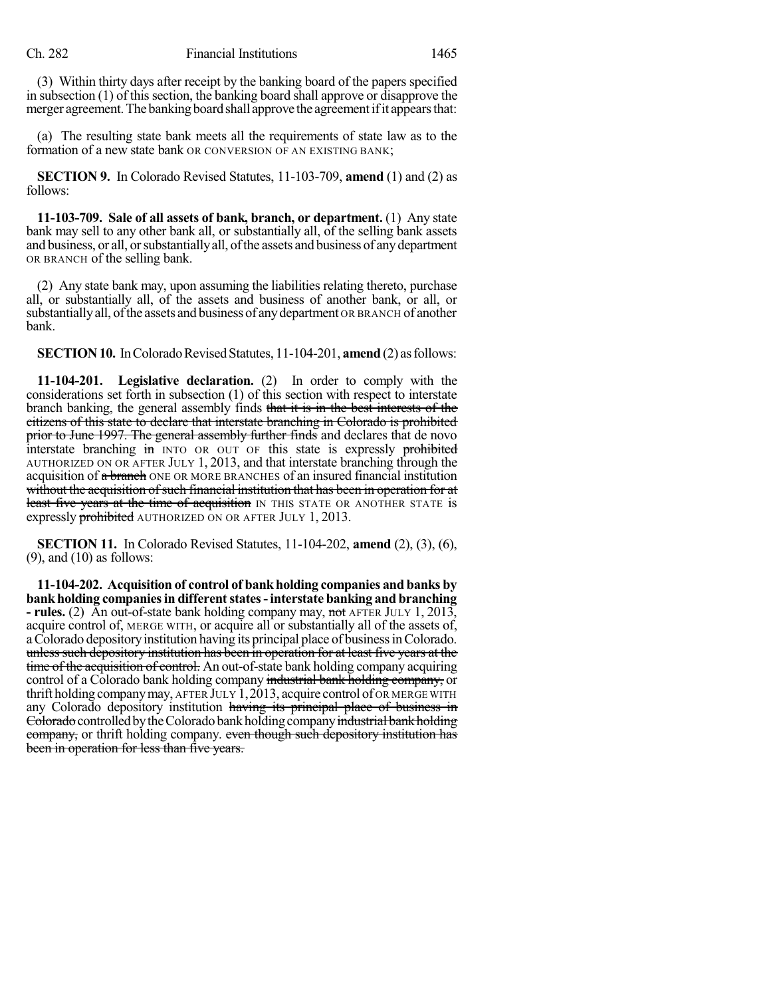(3) Within thirty days after receipt by the banking board of the papers specified in subsection  $(1)$  of this section, the banking board shall approve or disapprove the merger agreement. The banking board shall approve the agreement if it appears that:

(a) The resulting state bank meets all the requirements of state law as to the formation of a new state bank OR CONVERSION OF AN EXISTING BANK;

**SECTION 9.** In Colorado Revised Statutes, 11-103-709, **amend** (1) and (2) as follows:

**11-103-709. Sale of all assets of bank, branch, or department.** (1) Any state bank may sell to any other bank all, or substantially all, of the selling bank assets and business, or all, orsubstantiallyall, ofthe assets and business of anydepartment OR BRANCH of the selling bank.

(2) Any state bank may, upon assuming the liabilities relating thereto, purchase all, or substantially all, of the assets and business of another bank, or all, or substantiallyall, ofthe assets and business of anydepartment OR BRANCH of another bank.

**SECTION 10.** In Colorado Revised Statutes, 11-104-201, **amend** (2) as follows:

**11-104-201. Legislative declaration.** (2) In order to comply with the considerations set forth in subsection (1) of this section with respect to interstate branch banking, the general assembly finds that it is in the best interests of the citizens of this state to declare that interstate branching in Colorado is prohibited prior to June 1997. The general assembly further finds and declares that de novo interstate branching in INTO OR OUT OF this state is expressly prohibited AUTHORIZED ON OR AFTER JULY 1, 2013, and that interstate branching through the acquisition of a branch ONE OR MORE BRANCHES of an insured financial institution without the acquisition of such financial institution that has been in operation for at least five years at the time of acquisition IN THIS STATE OR ANOTHER STATE is expressly **prohibited** AUTHORIZED ON OR AFTER JULY 1, 2013.

**SECTION 11.** In Colorado Revised Statutes, 11-104-202, **amend** (2), (3), (6),  $(9)$ , and  $(10)$  as follows:

**11-104-202. Acquisition of control of bankholding companies and banks by bankholding companiesin differentstates-interstate banking and branching - rules.** (2) An out-of-state bank holding company may, not AFTER JULY 1, 2013, acquire control of, MERGE WITH, or acquire all or substantially all of the assets of, aColorado depositoryinstitution having its principal place of businessinColorado. unless such depository institution has been in operation for at least five years at the time of the acquisition of control. An out-of-state bank holding company acquiring control of a Colorado bank holding company industrial bank holding company, or thrift holding companymay, AFTER JULY 1,2013, acquire control of OR MERGE WITH any Colorado depository institution having its principal place of business in Colorado controlled by the Colorado bank holding company industrial bank holding company, or thrift holding company. even though such depository institution has been in operation for less than five years.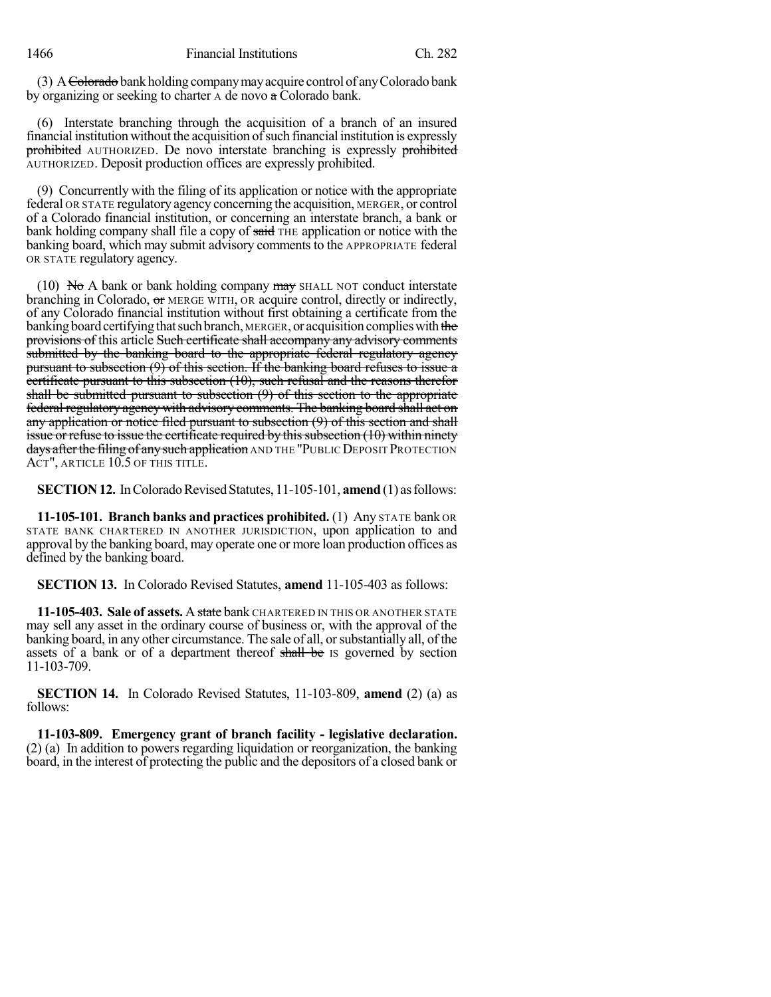1466 Financial Institutions Ch. 282

(3) A  $\epsilon$ -Colorado bank holding company may acquire control of any Colorado bank by organizing or seeking to charter A de novo a Colorado bank.

(6) Interstate branching through the acquisition of a branch of an insured financial institution without the acquisition of such financial institution is expressly prohibited AUTHORIZED. De novo interstate branching is expressly prohibited AUTHORIZED. Deposit production offices are expressly prohibited.

(9) Concurrently with the filing of its application or notice with the appropriate federal OR STATE regulatory agency concerning the acquisition, MERGER, or control of a Colorado financial institution, or concerning an interstate branch, a bank or bank holding company shall file a copy of said THE application or notice with the banking board, which may submit advisory comments to the APPROPRIATE federal OR STATE regulatory agency.

(10) No A bank or bank holding company  $\frac{m}{x}$  SHALL NOT conduct interstate branching in Colorado, or MERGE WITH, OR acquire control, directly or indirectly, of any Colorado financial institution without first obtaining a certificate from the banking board certifying that such branch, MERGER, or acquisition complies with the provisions of this article Such certificate shall accompany any advisory comments submitted by the banking board to the appropriate federal regulatory agency pursuant to subsection (9) of this section. If the banking board refuses to issue a certificate pursuant to this subsection (10), such refusal and the reasons therefor shall be submitted pursuant to subsection (9) of this section to the appropriate federal regulatory agency with advisory comments. The banking board shall act on any application or notice filed pursuant to subsection (9) of this section and shall issue or refuse to issue the certificate required by this subsection  $(10)$  within ninety days after the filing of any such application AND THE "PUBLIC DEPOSIT PROTECTION ACT", ARTICLE 10.5 OF THIS TITLE.

**SECTION 12.** In Colorado Revised Statutes, 11-105-101, **amend** (1) as follows:

**11-105-101. Branch banks and practices prohibited.** (1) Any STATE bank OR STATE BANK CHARTERED IN ANOTHER JURISDICTION, upon application to and approval by the banking board, may operate one or more loan production offices as defined by the banking board.

**SECTION 13.** In Colorado Revised Statutes, **amend** 11-105-403 as follows:

**11-105-403. Sale of assets.** A state bank CHARTERED IN THIS OR ANOTHER STATE may sell any asset in the ordinary course of business or, with the approval of the banking board, in any other circumstance. The sale of all, or substantially all, of the assets of a bank or of a department thereof shall be IS governed by section 11-103-709.

**SECTION 14.** In Colorado Revised Statutes, 11-103-809, **amend** (2) (a) as follows:

**11-103-809. Emergency grant of branch facility - legislative declaration.** (2) (a) In addition to powers regarding liquidation or reorganization, the banking board, in the interest of protecting the public and the depositors of a closed bank or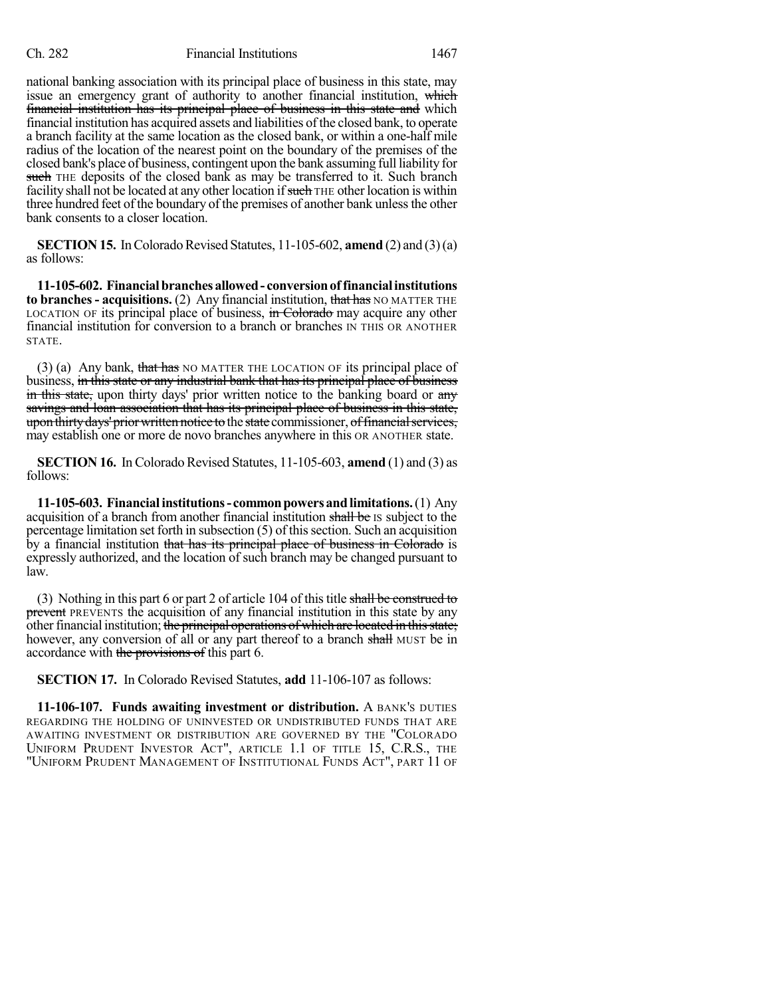## Ch. 282 Financial Institutions 1467

national banking association with its principal place of business in this state, may issue an emergency grant of authority to another financial institution, which financial institution has its principal place of business in this state and which financial institution has acquired assets and liabilities of the closed bank, to operate a branch facility at the same location as the closed bank, or within a one-half mile radius of the location of the nearest point on the boundary of the premises of the closed bank's place of business, contingent upon the bank assuming full liability for such THE deposits of the closed bank as may be transferred to it. Such branch facility shall not be located at any other location if such THE other location is within three hundred feet of the boundary of the premises of another bank unless the other bank consents to a closer location.

**SECTION 15.** In Colorado Revised Statutes,  $11\n-105\n-602$ , **amend** (2) and (3)(a) as follows:

**11-105-602. Financialbranchesallowed- conversionof financialinstitutions to branches** - **acquisitions.** (2) Any financial institution, that has NO MATTER THE LOCATION OF its principal place of business, in Colorado may acquire any other financial institution for conversion to a branch or branches IN THIS OR ANOTHER STATE.

(3) (a) Any bank, that has NO MATTER THE LOCATION OF its principal place of business, in this state or any industrial bank that has its principal place of business in this state, upon thirty days' prior written notice to the banking board or any savings and loan association that has its principal place of business in this state, upon thirty days' prior written notice to the state commissioner, of financial services, may establish one or more de novo branches anywhere in this OR ANOTHER state.

**SECTION 16.** In Colorado Revised Statutes, 11-105-603, **amend** (1) and (3) as follows:

**11-105-603. Financialinstitutions- commonpowersandlimitations.**(1) Any acquisition of a branch from another financial institution shall be IS subject to the percentage limitation set forth in subsection (5) of thissection. Such an acquisition by a financial institution that has its principal place of business in Colorado is expressly authorized, and the location of such branch may be changed pursuant to law.

(3) Nothing in this part 6 or part 2 of article 104 of this title shall be construed to prevent PREVENTS the acquisition of any financial institution in this state by any other financial institution; the principal operations of which are located in this state; however, any conversion of all or any part thereof to a branch shall MUST be in accordance with the provisions of this part 6.

**SECTION 17.** In Colorado Revised Statutes, **add** 11-106-107 as follows:

**11-106-107. Funds awaiting investment or distribution.** A BANK'S DUTIES REGARDING THE HOLDING OF UNINVESTED OR UNDISTRIBUTED FUNDS THAT ARE AWAITING INVESTMENT OR DISTRIBUTION ARE GOVERNED BY THE "COLORADO UNIFORM PRUDENT INVESTOR ACT", ARTICLE 1.1 OF TITLE 15, C.R.S., THE "UNIFORM PRUDENT MANAGEMENT OF INSTITUTIONAL FUNDS ACT", PART 11 OF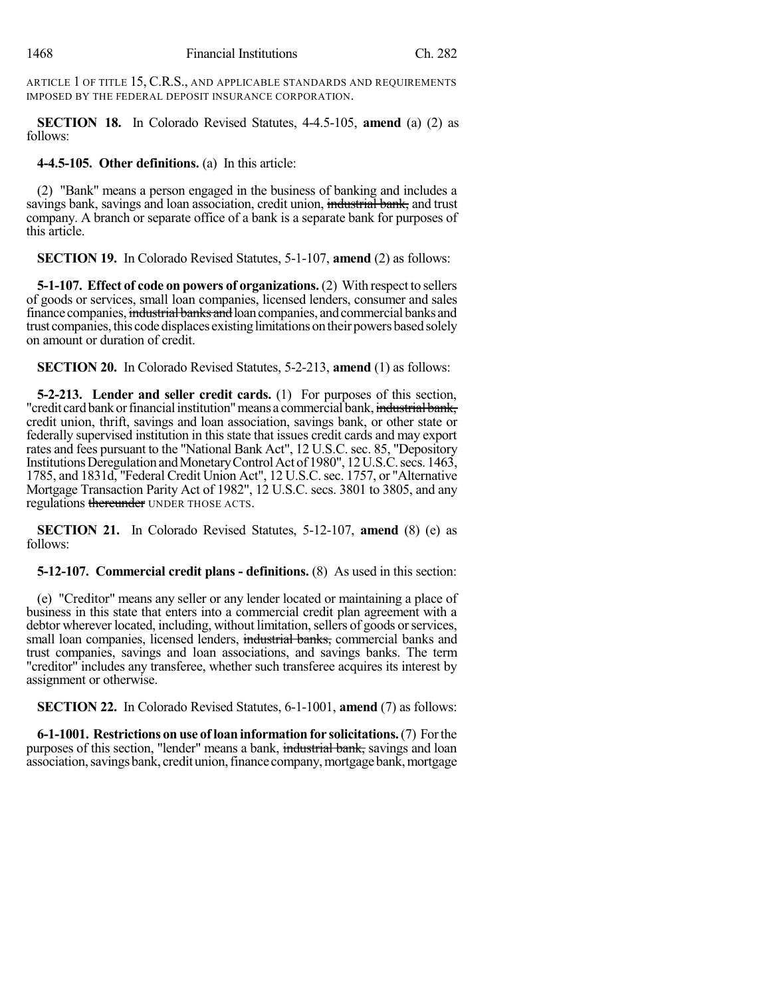ARTICLE 1 OF TITLE 15, C.R.S., AND APPLICABLE STANDARDS AND REQUIREMENTS IMPOSED BY THE FEDERAL DEPOSIT INSURANCE CORPORATION.

**SECTION 18.** In Colorado Revised Statutes, 4-4.5-105, **amend** (a) (2) as follows:

**4-4.5-105. Other definitions.** (a) In this article:

(2) "Bank" means a person engaged in the business of banking and includes a savings bank, savings and loan association, credit union, industrial bank, and trust company. A branch or separate office of a bank is a separate bank for purposes of this article.

**SECTION 19.** In Colorado Revised Statutes, 5-1-107, **amend** (2) as follows:

**5-1-107. Effect of code on powers of organizations.** (2) With respect to sellers of goods or services, small loan companies, licensed lenders, consumer and sales finance companies, industrial banks and loan companies, and commercial banks and trust companies, this code displaces existing limitations on their powers based solely on amount or duration of credit.

**SECTION 20.** In Colorado Revised Statutes, 5-2-213, **amend** (1) as follows:

**5-2-213. Lender and seller credit cards.** (1) For purposes of this section, "credit card bank or financial institution" means a commercial bank, industrial bank, credit union, thrift, savings and loan association, savings bank, or other state or federally supervised institution in this state that issues credit cards and may export rates and fees pursuant to the "National Bank Act", 12 U.S.C. sec. 85, "Depository Institutions Deregulation and Monetary Control Act of 1980", 12 U.S.C. secs. 1463, 1785, and 1831d, "Federal Credit Union Act", 12 U.S.C.sec. 1757, or "Alternative Mortgage Transaction Parity Act of 1982", 12 U.S.C. secs. 3801 to 3805, and any regulations thereunder UNDER THOSE ACTS.

**SECTION 21.** In Colorado Revised Statutes, 5-12-107, **amend** (8) (e) as follows:

**5-12-107. Commercial credit plans - definitions.** (8) As used in this section:

(e) "Creditor" means any seller or any lender located or maintaining a place of business in this state that enters into a commercial credit plan agreement with a debtor wherever located, including, without limitation, sellers of goods or services, small loan companies, licensed lenders, industrial banks, commercial banks and trust companies, savings and loan associations, and savings banks. The term "creditor" includes any transferee, whether such transferee acquires its interest by assignment or otherwise.

**SECTION 22.** In Colorado Revised Statutes, 6-1-1001, **amend** (7) as follows:

**6-1-1001. Restrictions on use of loaninformationfor solicitations.**(7) Forthe purposes of this section, "lender" means a bank, industrial bank, savings and loan association, savings bank, credit union, finance company, mortgage bank, mortgage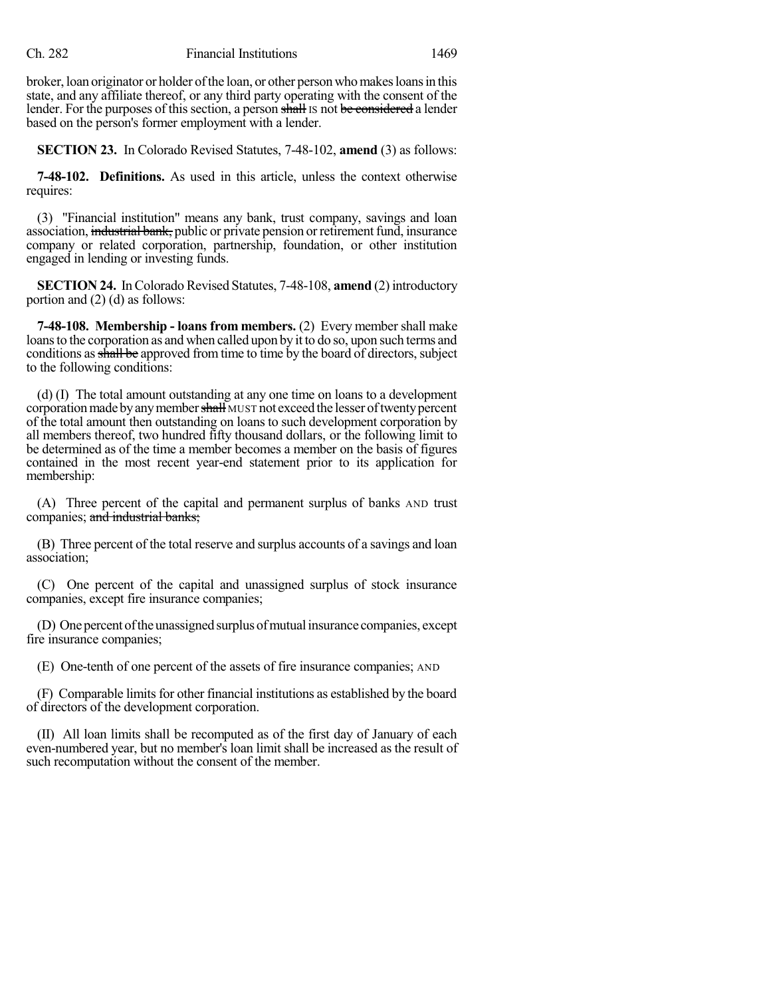broker, loan originator or holder of the loan, or other person who makes loans in this state, and any affiliate thereof, or any third party operating with the consent of the lender. For the purposes of this section, a person shall is not be considered a lender based on the person's former employment with a lender.

**SECTION 23.** In Colorado Revised Statutes, 7-48-102, **amend** (3) as follows:

**7-48-102. Definitions.** As used in this article, unless the context otherwise requires:

(3) "Financial institution" means any bank, trust company, savings and loan association, industrial bank, public or private pension or retirement fund, insurance company or related corporation, partnership, foundation, or other institution engaged in lending or investing funds.

**SECTION 24.** In Colorado Revised Statutes, 7-48-108, **amend** (2) introductory portion and (2) (d) as follows:

**7-48-108. Membership - loans from members.** (2) Every member shall make loansto the corporation as and when called upon by it to do so, upon such terms and conditions as shall be approved from time to time by the board of directors, subject to the following conditions:

(d) (I) The total amount outstanding at any one time on loans to a development corporation made by any member shall MUST not exceed the lesser of twenty percent of the total amount then outstanding on loans to such development corporation by all members thereof, two hundred fifty thousand dollars, or the following limit to be determined as of the time a member becomes a member on the basis of figures contained in the most recent year-end statement prior to its application for membership:

(A) Three percent of the capital and permanent surplus of banks AND trust companies; and industrial banks;

(B) Three percent of the total reserve and surplus accounts of a savings and loan association;

(C) One percent of the capital and unassigned surplus of stock insurance companies, except fire insurance companies;

(D) One percent of the unassigned surplus of mutual insurance companies, except fire insurance companies;

(E) One-tenth of one percent of the assets of fire insurance companies; AND

(F) Comparable limitsfor other financial institutions as established by the board of directors of the development corporation.

(II) All loan limits shall be recomputed as of the first day of January of each even-numbered year, but no member's loan limit shall be increased as the result of such recomputation without the consent of the member.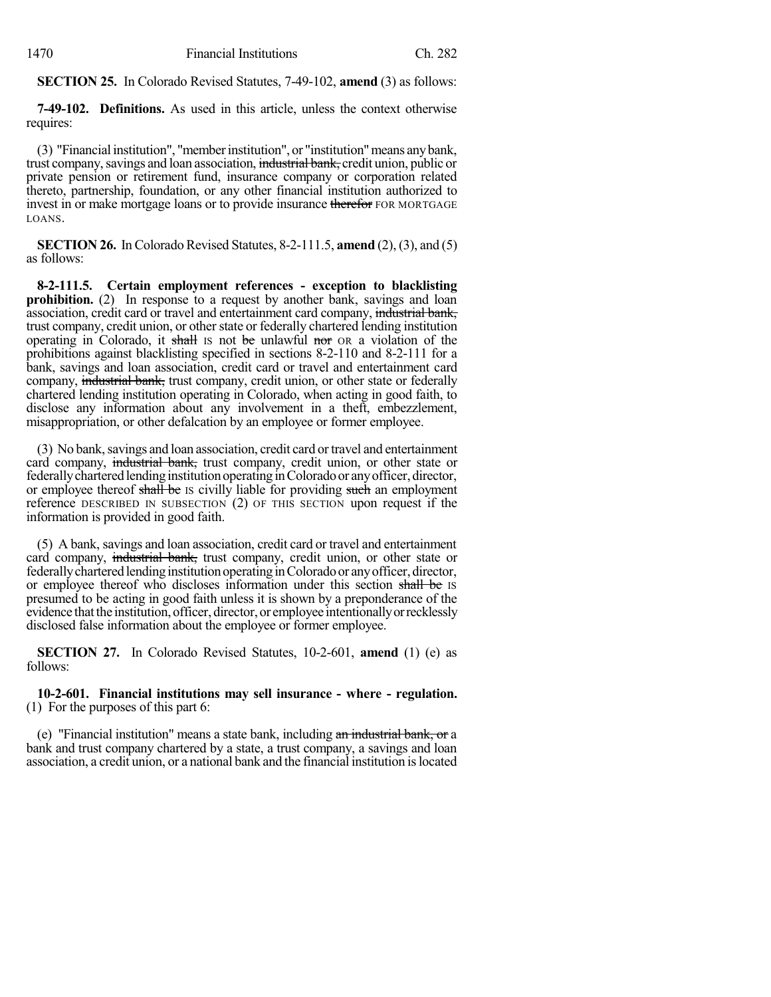**SECTION 25.** In Colorado Revised Statutes, 7-49-102, **amend** (3) as follows:

**7-49-102. Definitions.** As used in this article, unless the context otherwise requires:

(3) "Financial institution", "memberinstitution", or "institution"means anybank, trust company, savings and loan association, industrial bank, credit union, public or private pension or retirement fund, insurance company or corporation related thereto, partnership, foundation, or any other financial institution authorized to invest in or make mortgage loans or to provide insurance therefor FOR MORTGAGE LOANS.

**SECTION 26.** In Colorado Revised Statutes, 8-2-111.5, **amend** (2), (3), and (5) as follows:

**8-2-111.5. Certain employment references - exception to blacklisting prohibition.** (2) In response to a request by another bank, savings and loan association, credit card or travel and entertainment card company, industrial bank, trust company, credit union, or other state or federally chartered lending institution operating in Colorado, it shall is not be unlawful nor  $\alpha$  a violation of the prohibitions against blacklisting specified in sections 8-2-110 and 8-2-111 for a bank, savings and loan association, credit card or travel and entertainment card company, industrial bank, trust company, credit union, or other state or federally chartered lending institution operating in Colorado, when acting in good faith, to disclose any information about any involvement in a theft, embezzlement, misappropriation, or other defalcation by an employee or former employee.

(3) No bank, savings and loan association, credit card or travel and entertainment card company, industrial bank, trust company, credit union, or other state or federally chartered lending institution operating in Colorado or any officer, director, or employee thereof shall be IS civilly liable for providing such an employment reference DESCRIBED IN SUBSECTION (2) OF THIS SECTION upon request if the information is provided in good faith.

(5) A bank, savings and loan association, credit card or travel and entertainment card company, industrial bank, trust company, credit union, or other state or federally chartered lending institution operating in Colorado or any officer, director, or employee thereof who discloses information under this section shall be IS presumed to be acting in good faith unless it is shown by a preponderance of the evidence that the institution, officer, director, or employee intentionally or recklessly disclosed false information about the employee or former employee.

**SECTION 27.** In Colorado Revised Statutes, 10-2-601, **amend** (1) (e) as follows:

**10-2-601. Financial institutions may sell insurance - where - regulation.** (1) For the purposes of this part 6:

(e) "Financial institution" means a state bank, including an industrial bank, or a bank and trust company chartered by a state, a trust company, a savings and loan association, a credit union, or a national bank and the financial institution islocated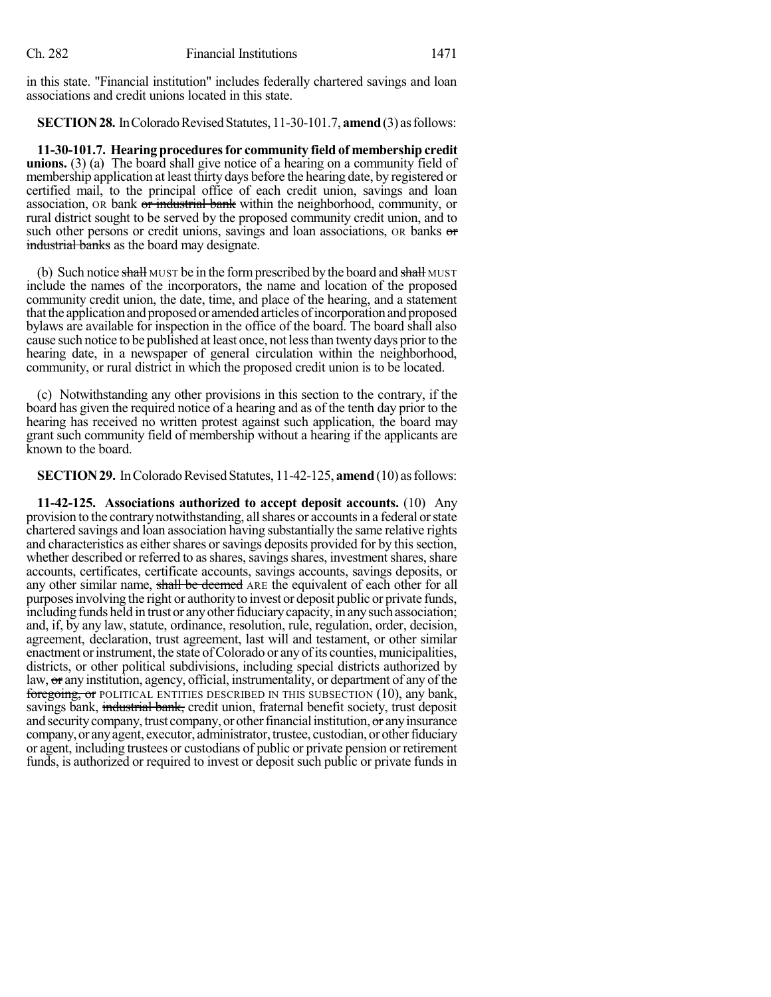in this state. "Financial institution" includes federally chartered savings and loan associations and credit unions located in this state.

**SECTION 28.** In Colorado Revised Statutes, 11-30-101.7, **amend** (3) as follows:

**11-30-101.7. Hearing proceduresfor community field of membership credit unions.** (3) (a) The board shall give notice of a hearing on a community field of membership application at least thirty days before the hearing date, by registered or certified mail, to the principal office of each credit union, savings and loan association, OR bank or industrial bank within the neighborhood, community, or rural district sought to be served by the proposed community credit union, and to such other persons or credit unions, savings and loan associations, OR banks or industrial banks as the board may designate.

(b) Such notice shall MUST be in the form prescribed by the board and shall MUST include the names of the incorporators, the name and location of the proposed community credit union, the date, time, and place of the hearing, and a statement that the application and proposed or amended articles of incorporation and proposed bylaws are available for inspection in the office of the board. The board shall also cause such notice to be published at least once, not lessthan twentydays priorto the hearing date, in a newspaper of general circulation within the neighborhood, community, or rural district in which the proposed credit union is to be located.

(c) Notwithstanding any other provisions in this section to the contrary, if the board has given the required notice of a hearing and as of the tenth day prior to the hearing has received no written protest against such application, the board may grant such community field of membership without a hearing if the applicants are known to the board.

**SECTION 29.** In Colorado Revised Statutes, 11-42-125, **amend** (10) as follows:

**11-42-125. Associations authorized to accept deposit accounts.** (10) Any provision to the contrary notwithstanding, all shares or accounts in a federal or state chartered savings and loan association having substantially the same relative rights and characteristics as either shares or savings deposits provided for by this section, whether described or referred to as shares, savings shares, investment shares, share accounts, certificates, certificate accounts, savings accounts, savings deposits, or any other similar name, shall be deemed ARE the equivalent of each other for all purposesinvolving the right or authorityto invest or deposit public or private funds, including funds held in trust or any other fiduciary capacity, in any such association; and, if, by any law, statute, ordinance, resolution, rule, regulation, order, decision, agreement, declaration, trust agreement, last will and testament, or other similar enactment or instrument, the state of Colorado or any of its counties, municipalities, districts, or other political subdivisions, including special districts authorized by law, or any institution, agency, official, instrumentality, or department of any of the foregoing, or POLITICAL ENTITIES DESCRIBED IN THIS SUBSECTION (10), any bank, savings bank, industrial bank, credit union, fraternal benefit society, trust deposit and security company, trust company, or other financial institution, or any insurance company, or any agent, executor, administrator, trustee, custodian, or other fiduciary or agent, including trustees or custodians of public or private pension or retirement funds, is authorized or required to invest or deposit such public or private funds in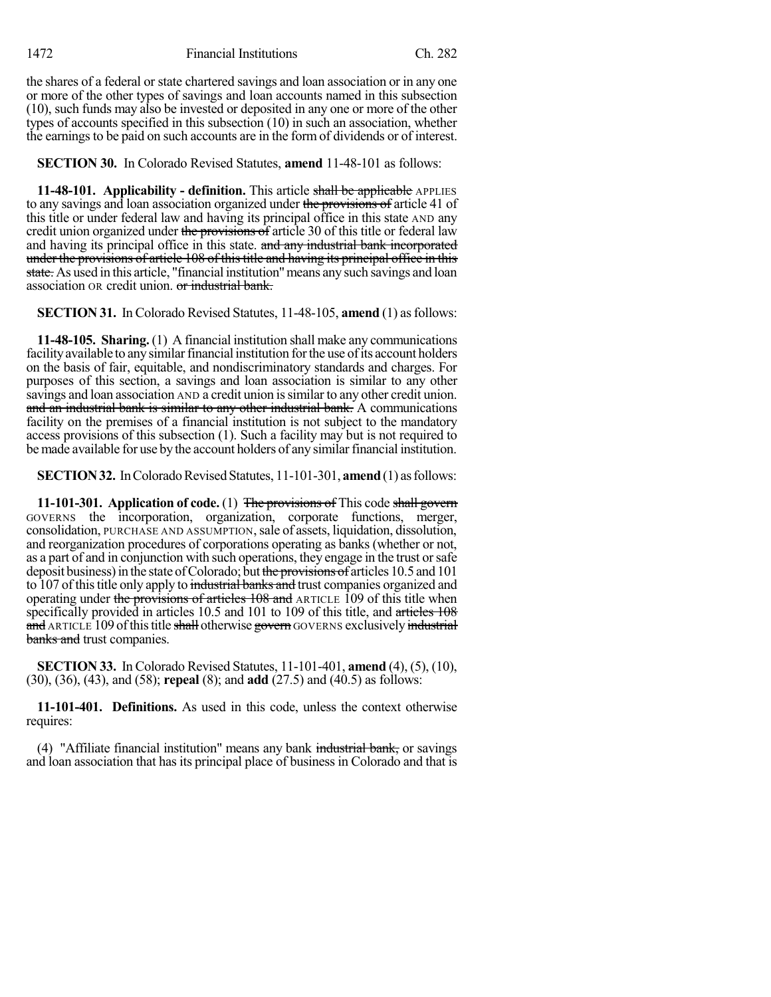the shares of a federal or state chartered savings and loan association or in any one or more of the other types of savings and loan accounts named in this subsection (10), such funds may also be invested or deposited in any one or more of the other types of accounts specified in this subsection (10) in such an association, whether the earningsto be paid on such accounts are in the form of dividends or of interest.

**SECTION 30.** In Colorado Revised Statutes, **amend** 11-48-101 as follows:

**11-48-101. Applicability - definition.** This article shall be applicable APPLIES to any savings and loan association organized under the provisions of article 41 of this title or under federal law and having its principal office in this state AND any credit union organized under the provisions of article 30 of this title or federal law and having its principal office in this state. and any industrial bank incorporated under the provisions of article 108 of this title and having its principal office in this state. As used in this article, "financial institution" means any such savings and loan association OR credit union. or industrial bank.

**SECTION 31.** In Colorado Revised Statutes, 11-48-105, **amend** (1) as follows:

**11-48-105. Sharing.** (1) A financial institution shall make any communications facility available to any similar financial institution for the use of its account holders on the basis of fair, equitable, and nondiscriminatory standards and charges. For purposes of this section, a savings and loan association is similar to any other savings and loan association AND a credit union issimilar to any other credit union. and an industrial bank is similar to any other industrial bank. A communications facility on the premises of a financial institution is not subject to the mandatory access provisions of this subsection (1). Such a facility may but is not required to be made available for use by the account holders of any similar financial institution.

**SECTION 32.** In Colorado Revised Statutes, 11-101-301, **amend** (1) as follows:

**11-101-301. Application of code.** (1) The provisions of This code shall govern GOVERNS the incorporation, organization, corporate functions, merger, consolidation, PURCHASE AND ASSUMPTION,sale of assets, liquidation, dissolution, and reorganization procedures of corporations operating as banks (whether or not, as a part of and in conjunction with such operations, they engage in the trust orsafe deposit business) in the state of Colorado; but the provisions of articles 10.5 and 101 to 107 of this title only apply to industrial banks and trust companies organized and operating under the provisions of articles 108 and ARTICLE 109 of this title when specifically provided in articles 10.5 and 101 to 109 of this title, and articles 108 and ARTICLE 109 of this title shall otherwise govern GOVERNS exclusively industrial banks and trust companies.

**SECTION 33.** In Colorado Revised Statutes, 11-101-401, **amend** (4), (5), (10), (30), (36), (43), and (58); **repeal** (8); and **add** (27.5) and (40.5) as follows:

**11-101-401. Definitions.** As used in this code, unless the context otherwise requires:

(4) "Affiliate financial institution" means any bank industrial bank, or savings and loan association that has its principal place of business in Colorado and that is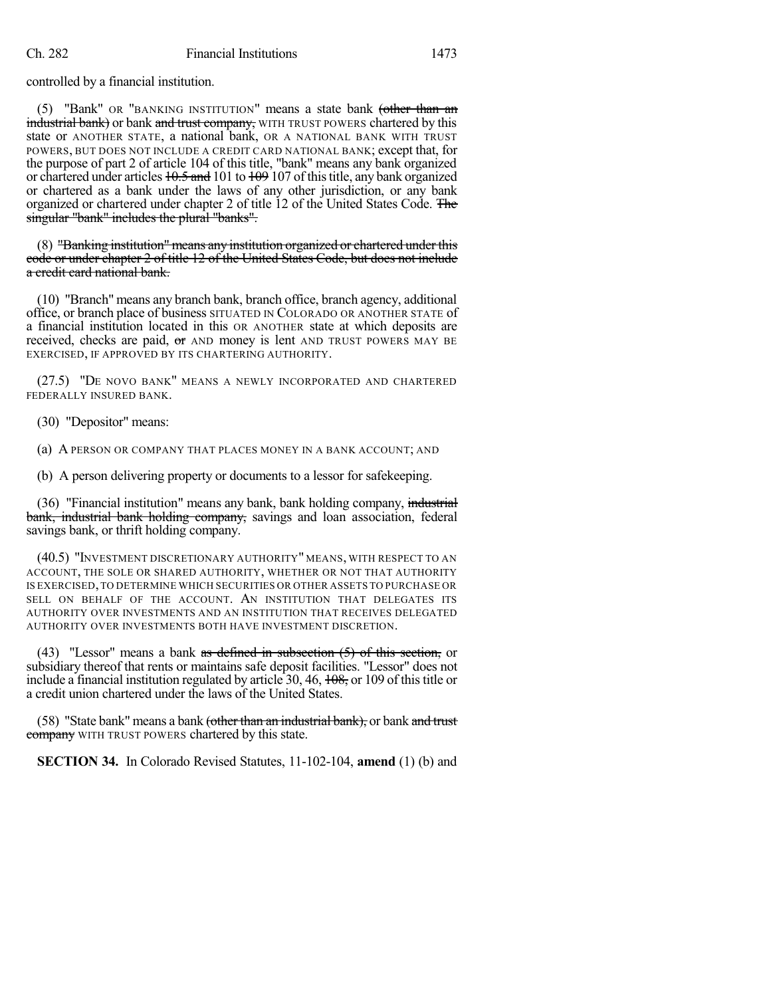controlled by a financial institution.

(5) "Bank" OR "BANKING INSTITUTION" means a state bank (other than an industrial bank) or bank and trust company, WITH TRUST POWERS chartered by this state or ANOTHER STATE, a national bank, OR A NATIONAL BANK WITH TRUST POWERS, BUT DOES NOT INCLUDE A CREDIT CARD NATIONAL BANK; except that, for the purpose of part 2 of article 104 of this title, "bank" means any bank organized or chartered under articles  $10.5$  and 101 to  $109$  107 of this title, any bank organized or chartered as a bank under the laws of any other jurisdiction, or any bank organized or chartered under chapter 2 of title 12 of the United States Code. The singular "bank" includes the plural "banks".

(8) "Banking institution" means any institution organized or chartered under this code or under chapter 2 of title 12 of the United States Code, but does not include a credit card national bank.

(10) "Branch" means any branch bank, branch office, branch agency, additional office, or branch place of business SITUATED IN COLORADO OR ANOTHER STATE of a financial institution located in this OR ANOTHER state at which deposits are received, checks are paid, or AND money is lent AND TRUST POWERS MAY BE EXERCISED, IF APPROVED BY ITS CHARTERING AUTHORITY.

(27.5) "DE NOVO BANK" MEANS A NEWLY INCORPORATED AND CHARTERED FEDERALLY INSURED BANK.

(30) "Depositor" means:

(a) A PERSON OR COMPANY THAT PLACES MONEY IN A BANK ACCOUNT; AND

(b) A person delivering property or documents to a lessor for safekeeping.

(36) "Financial institution" means any bank, bank holding company, industrial bank, industrial bank holding company, savings and loan association, federal savings bank, or thrift holding company.

(40.5) "INVESTMENT DISCRETIONARY AUTHORITY" MEANS, WITH RESPECT TO AN ACCOUNT, THE SOLE OR SHARED AUTHORITY, WHETHER OR NOT THAT AUTHORITY IS EXERCISED,TO DETERMINE WHICH SECURITIES OR OTHER ASSETS TO PURCHASE OR SELL ON BEHALF OF THE ACCOUNT. AN INSTITUTION THAT DELEGATES ITS AUTHORITY OVER INVESTMENTS AND AN INSTITUTION THAT RECEIVES DELEGATED AUTHORITY OVER INVESTMENTS BOTH HAVE INVESTMENT DISCRETION.

(43) "Lessor" means a bank as defined in subsection  $(5)$  of this section, or subsidiary thereof that rents or maintains safe deposit facilities. "Lessor" does not include a financial institution regulated by article  $30, 46, \frac{108}{100}$ , or 109 of this title or a credit union chartered under the laws of the United States.

(58) "State bank" means a bank (other than an industrial bank), or bank and trust company WITH TRUST POWERS chartered by this state.

**SECTION 34.** In Colorado Revised Statutes, 11-102-104, **amend** (1) (b) and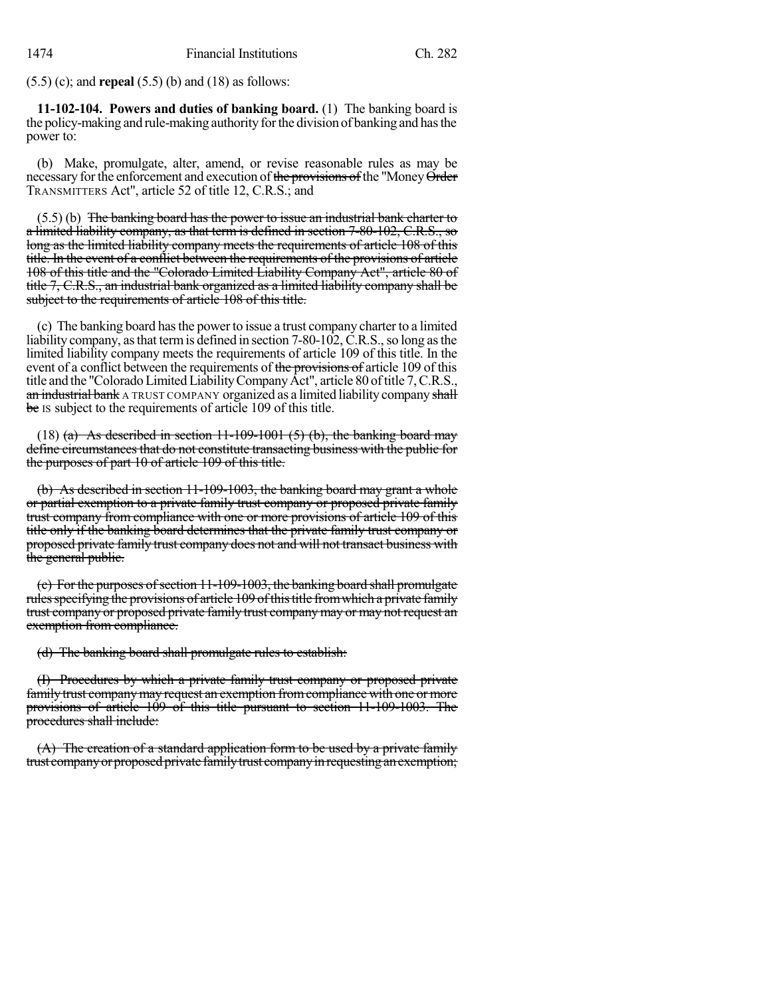(5.5) (c); and **repeal** (5.5) (b) and (18) as follows:

**11-102-104. Powers and duties of banking board.** (1) The banking board is the policy-making and rule-making authority for the division of banking and has the power to:

(b) Make, promulgate, alter, amend, or revise reasonable rules as may be necessary for the enforcement and execution of the provisions of the "Money Order TRANSMITTERS Act", article 52 of title 12, C.R.S.; and

 $(5.5)$  (b) The banking board has the power to issue an industrial bank charter to a limited liability company, as that term is defined in section 7-80-102, C.R.S., so long as the limited liability company meets the requirements of article 108 of this title. In the event of a conflict between the requirements of the provisions of article 108 of this title and the "Colorado Limited Liability Company Act", article 80 of title 7, C.R.S., an industrial bank organized as a limited liability company shall be subject to the requirements of article 108 of this title.

(c) The banking board hasthe powerto issue a trust company charter to a limited liability company, as that term is defined in section 7-80-102, C.R.S., so long as the limited liability company meets the requirements of article 109 of this title. In the event of a conflict between the requirements of the provisions of article 109 of this title and the "Colorado Limited Liability Company Act", article 80 of title 7, C.R.S., an industrial bank A TRUST COMPANY organized as a limited liability company shall be Is subject to the requirements of article 109 of this title.

(18) (a) As described in section  $11-109-1001$  (5) (b), the banking board may define circumstances that do not constitute transacting business with the public for the purposes of part 10 of article 109 of this title.

(b) As described in section 11-109-1003, the banking board may grant a whole or partial exemption to a private family trust company or proposed private family trust company from compliance with one or more provisions of article 109 of this title only if the banking board determines that the private family trust company or proposed private family trust company does not and will not transact business with the general public.

(e) For the purposes of section 11-109-1003, the banking board shall promulgate rules specifying the provisions of article 109 of this title from which a private family trust company or proposed private family trust companymay or may not request an exemption from compliance.

(d) The banking board shall promulgate rules to establish:

(I) Procedures by which a private family trust company or proposed private family trust companymay request an exemption fromcompliance with one or more provisions of article 109 of this title pursuant to section 11-109-1003. The procedures shall include:

 $(A)$  The creation of a standard application form to be used by a private family trust company or proposed private family trust company in requesting an exemption;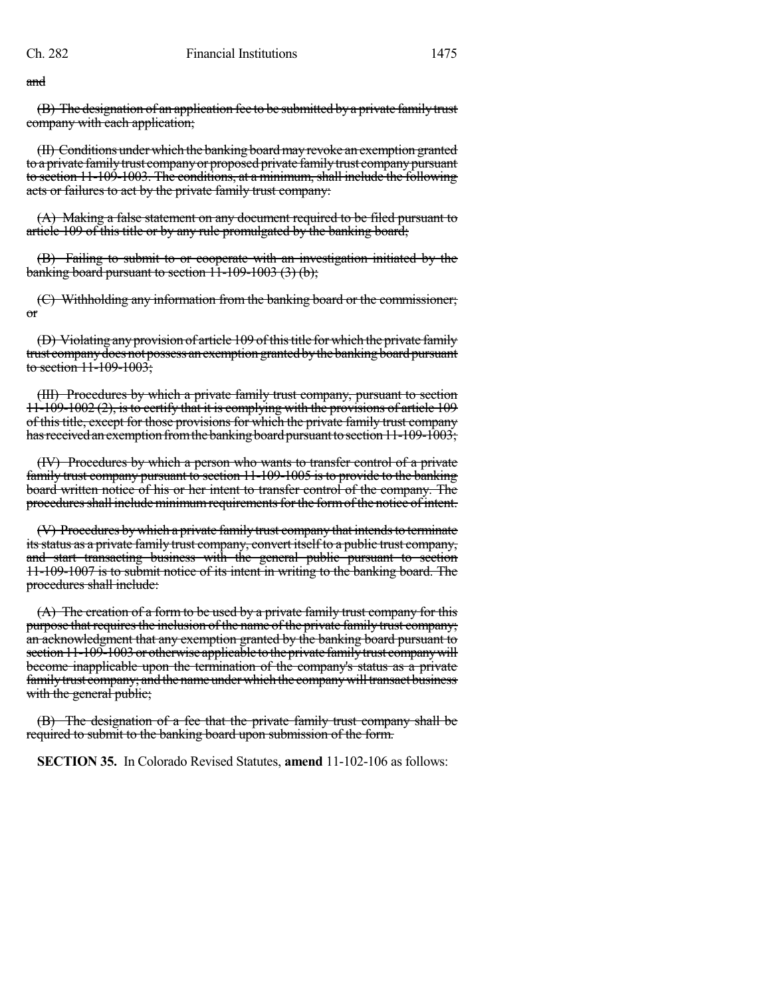and

(B) The designation of an application fee to be submitted by a private family trust company with each application;

(II) Conditions under which the banking board may revoke an exemption granted to a private family trust company or proposed private family trust company pursuant to section 11-109-1003. The conditions, at a minimum, shall include the following acts or failures to act by the private family trust company:

(A) Making a false statement on any document required to be filed pursuant to article 109 of this title or by any rule promulgated by the banking board;

(B) Failing to submit to or cooperate with an investigation initiated by the banking board pursuant to section 11-109-1003 (3) (b);

(C) Withholding any information from the banking board or the commissioner; or

(D) Violating any provision of article 109 of this title for which the private family trust company does not possess an exemption granted by the banking board pursuant to section 11-109-1003;

(III) Procedures by which a private family trust company, pursuant to section 11-109-1002 (2), isto certify that it is complying with the provisions of article 109 of this title, except for those provisions for which the private family trust company has received an exemption from the banking board pursuant to section 11-109-1003;

(IV) Procedures by which a person who wants to transfer control of a private family trust company pursuant to section 11-109-1005 is to provide to the banking board written notice of his or her intent to transfer control of the company. The procedures shall include minimum requirements for the form of the notice of intent.

(V) Procedures by which a private family trust company that intends to terminate its status as a private family trust company, convert itself to a public trust company, and start transacting business with the general public pursuant to section 11-109-1007 is to submit notice of its intent in writing to the banking board. The procedures shall include:

(A) The creation of a form to be used by a private family trust company for this purpose that requires the inclusion of the name of the private family trust company; an acknowledgment that any exemption granted by the banking board pursuant to section 11-109-1003 or otherwise applicable to the private family trust company will become inapplicable upon the termination of the company's status as a private family trust company; and the name under which the company will transact business with the general public;

(B) The designation of a fee that the private family trust company shall be required to submit to the banking board upon submission of the form.

**SECTION 35.** In Colorado Revised Statutes, **amend** 11-102-106 as follows: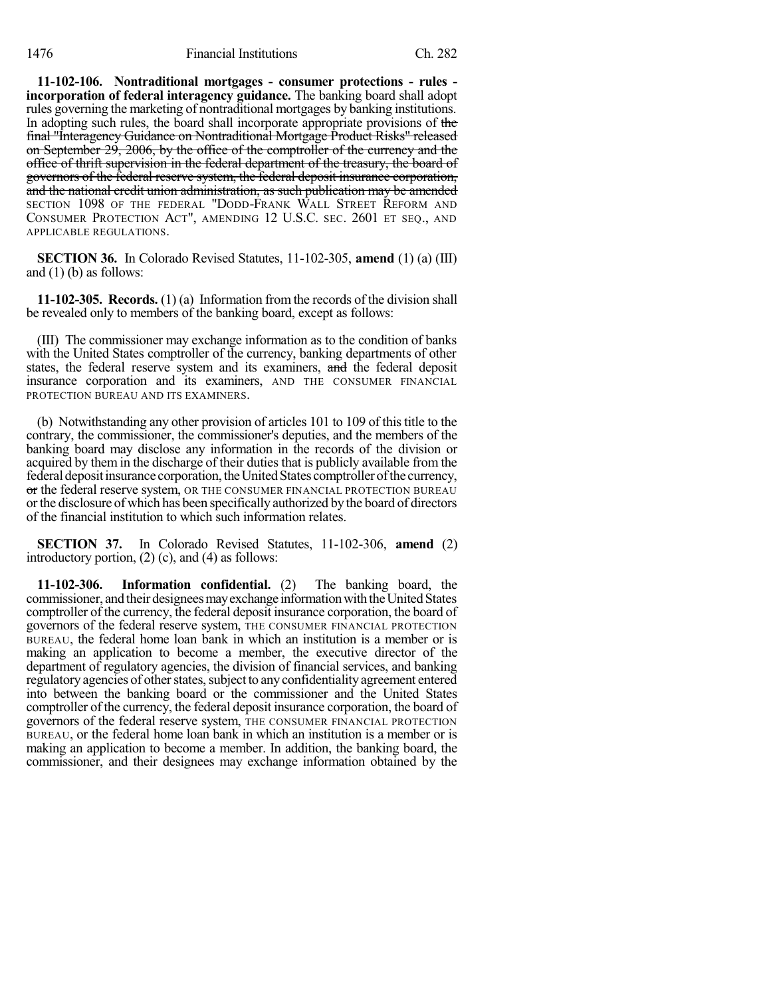**11-102-106. Nontraditional mortgages - consumer protections - rules incorporation of federal interagency guidance.** The banking board shall adopt rules governing the marketing of nontraditional mortgages by banking institutions. In adopting such rules, the board shall incorporate appropriate provisions of the final "Interagency Guidance on Nontraditional Mortgage Product Risks" released on September 29, 2006, by the office of the comptroller of the currency and the office of thrift supervision in the federal department of the treasury, the board of governors of the federal reserve system, the federal deposit insurance corporation, and the national credit union administration, as such publication may be amended SECTION 1098 OF THE FEDERAL "DODD-FRANK WALL STREET REFORM AND CONSUMER PROTECTION ACT", AMENDING 12 U.S.C. SEC. 2601 ET SEQ., AND APPLICABLE REGULATIONS.

**SECTION 36.** In Colorado Revised Statutes, 11-102-305, **amend** (1) (a) (III) and  $(1)$  (b) as follows:

**11-102-305. Records.** (1) (a) Information from the records of the division shall be revealed only to members of the banking board, except as follows:

(III) The commissioner may exchange information as to the condition of banks with the United States comptroller of the currency, banking departments of other states, the federal reserve system and its examiners, and the federal deposit insurance corporation and its examiners, AND THE CONSUMER FINANCIAL PROTECTION BUREAU AND ITS EXAMINERS.

(b) Notwithstanding any other provision of articles 101 to 109 of this title to the contrary, the commissioner, the commissioner's deputies, and the members of the banking board may disclose any information in the records of the division or acquired by them in the discharge of their duties that is publicly available from the federal deposit insurance corporation, the United States comptroller of the currency, or the federal reserve system, OR THE CONSUMER FINANCIAL PROTECTION BUREAU orthe disclosure of which has been specifically authorized by the board of directors of the financial institution to which such information relates.

**SECTION 37.** In Colorado Revised Statutes, 11-102-306, **amend** (2) introductory portion, (2) (c), and (4) as follows:

**11-102-306. Information confidential.** (2) The banking board, the commissioner, and their designees may exchange information with the United States comptroller of the currency, the federal deposit insurance corporation, the board of governors of the federal reserve system, THE CONSUMER FINANCIAL PROTECTION BUREAU, the federal home loan bank in which an institution is a member or is making an application to become a member, the executive director of the department of regulatory agencies, the division of financial services, and banking regulatory agencies of other states, subject to any confidentiality agreement entered into between the banking board or the commissioner and the United States comptroller ofthe currency, the federal deposit insurance corporation, the board of governors of the federal reserve system, THE CONSUMER FINANCIAL PROTECTION BUREAU, or the federal home loan bank in which an institution is a member or is making an application to become a member. In addition, the banking board, the commissioner, and their designees may exchange information obtained by the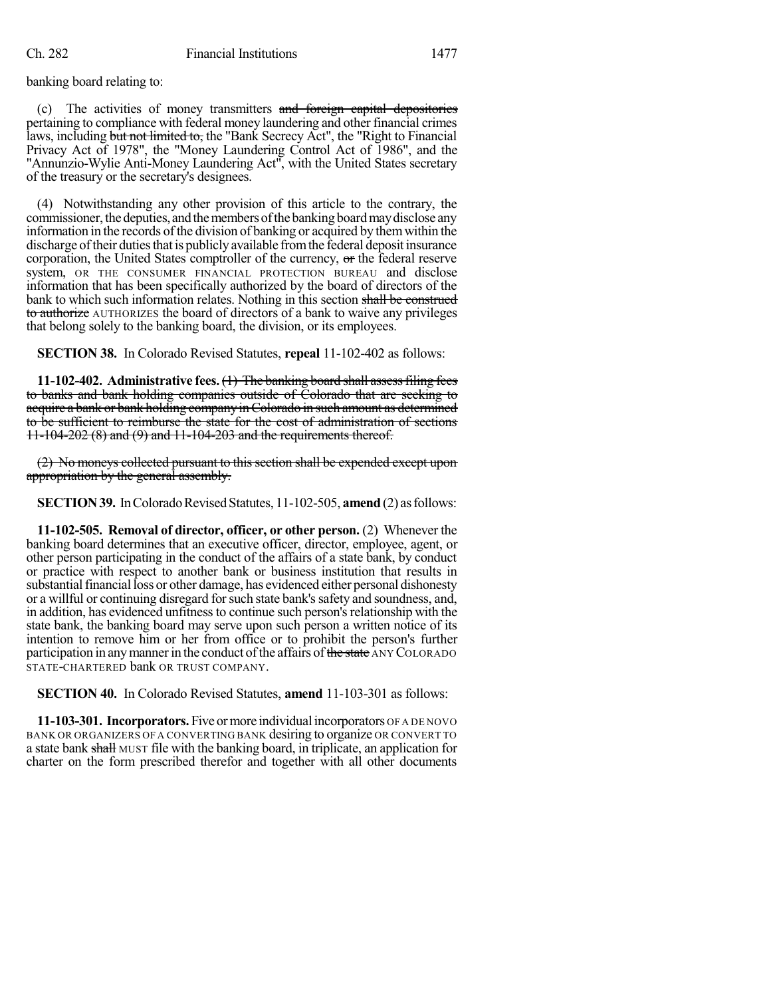banking board relating to:

(c) The activities of money transmitters and foreign capital depositories pertaining to compliance with federal money laundering and other financial crimes laws, including but not limited to, the "Bank Secrecy Act", the "Right to Financial Privacy Act of 1978", the "Money Laundering Control Act of 1986", and the "Annunzio-Wylie Anti-Money Laundering Act", with the United States secretary of the treasury or the secretary's designees.

(4) Notwithstanding any other provision of this article to the contrary, the commissioner, the deputies, and the members of the banking board may disclose any information in the records of the division of banking or acquired by them within the discharge oftheir dutiesthat is publiclyavailable fromthe federal deposit insurance corporation, the United States comptroller of the currency, or the federal reserve system, OR THE CONSUMER FINANCIAL PROTECTION BUREAU and disclose information that has been specifically authorized by the board of directors of the bank to which such information relates. Nothing in this section shall be construed to authorize AUTHORIZES the board of directors of a bank to waive any privileges that belong solely to the banking board, the division, or its employees.

**SECTION 38.** In Colorado Revised Statutes, **repeal** 11-102-402 as follows:

**11-102-402. Administrative fees.**(1) The banking board shall assessfiling fees to banks and bank holding companies outside of Colorado that are seeking to acquire a bank or bank holding company in Colorado in such amount as determined to be sufficient to reimburse the state for the cost of administration of sections 11-104-202 (8) and (9) and 11-104-203 and the requirements thereof.

(2) No moneys collected pursuant to this section shall be expended except upon appropriation by the general assembly.

**SECTION 39.** In Colorado Revised Statutes, 11-102-505, **amend** (2) as follows:

**11-102-505. Removal of director, officer, or other person.** (2) Whenever the banking board determines that an executive officer, director, employee, agent, or other person participating in the conduct of the affairs of a state bank, by conduct or practice with respect to another bank or business institution that results in substantial financial loss or other damage, has evidenced either personal dishonesty or a willful or continuing disregard for such state bank's safety and soundness, and, in addition, has evidenced unfitness to continue such person's relationship with the state bank, the banking board may serve upon such person a written notice of its intention to remove him or her from office or to prohibit the person's further participation in any manner in the conduct of the affairs of the state ANY COLORADO STATE-CHARTERED bank OR TRUST COMPANY.

**SECTION 40.** In Colorado Revised Statutes, **amend** 11-103-301 as follows:

**11-103-301. Incorporators.** Five ormore individualincorporators OF A DE NOVO BANK OR ORGANIZERS OF A CONVERTING BANK desiring to organize OR CONVERT TO a state bank shall MUST file with the banking board, in triplicate, an application for charter on the form prescribed therefor and together with all other documents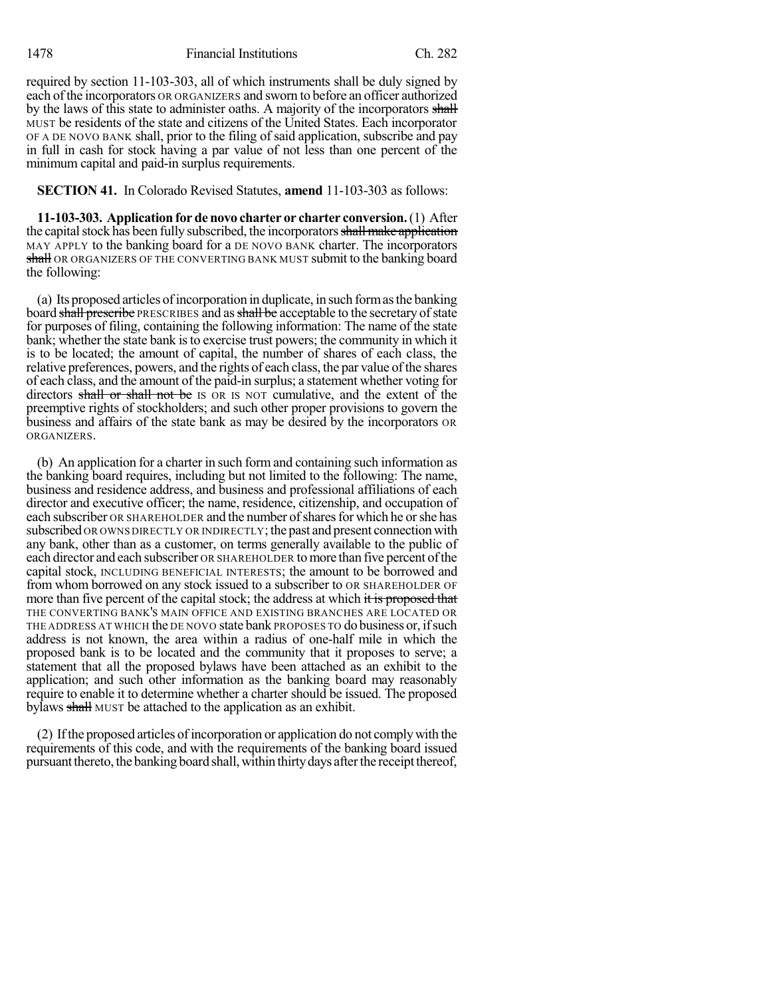1478 Financial Institutions Ch. 282

required by section 11-103-303, all of which instruments shall be duly signed by each ofthe incorporators OR ORGANIZERS and sworn to before an officer authorized by the laws of this state to administer oaths. A majority of the incorporators shall MUST be residents of the state and citizens of the United States. Each incorporator OF A DE NOVO BANK shall, prior to the filing of said application, subscribe and pay in full in cash for stock having a par value of not less than one percent of the minimum capital and paid-in surplus requirements.

**SECTION 41.** In Colorado Revised Statutes, **amend** 11-103-303 as follows:

**11-103-303. Application for de novo charter or charter conversion.** (1) After the capital stock has been fully subscribed, the incorporators shall make application MAY APPLY to the banking board for a DE NOVO BANK charter. The incorporators shall OR ORGANIZERS OF THE CONVERTING BANK MUST submit to the banking board the following:

(a) Its proposed articles ofincorporation in duplicate, in such formasthe banking board shall prescribe PRESCRIBES and as shall be acceptable to the secretary of state for purposes of filing, containing the following information: The name of the state bank; whether the state bank is to exercise trust powers; the community in which it is to be located; the amount of capital, the number of shares of each class, the relative preferences, powers, and the rights of each class, the par value of the shares of each class, and the amount of the paid-in surplus; a statement whether voting for directors shall or shall not be IS OR IS NOT cumulative, and the extent of the preemptive rights of stockholders; and such other proper provisions to govern the business and affairs of the state bank as may be desired by the incorporators OR ORGANIZERS.

(b) An application for a charter in such form and containing such information as the banking board requires, including but not limited to the following: The name, business and residence address, and business and professional affiliations of each director and executive officer; the name, residence, citizenship, and occupation of each subscriber OR SHAREHOLDER and the number of shares for which he or she has subscribed OR OWNS DIRECTLY OR INDIRECTLY; the past and present connection with any bank, other than as a customer, on terms generally available to the public of each director and each subscriber OR SHAREHOLDER tomore than five percent ofthe capital stock, INCLUDING BENEFICIAL INTERESTS; the amount to be borrowed and from whom borrowed on any stock issued to a subscriber to OR SHAREHOLDER OF more than five percent of the capital stock; the address at which it is proposed that THE CONVERTING BANK'S MAIN OFFICE AND EXISTING BRANCHES ARE LOCATED OR THE ADDRESS AT WHICH the DE NOVO state bank PROPOSES TO do business or, ifsuch address is not known, the area within a radius of one-half mile in which the proposed bank is to be located and the community that it proposes to serve; a statement that all the proposed bylaws have been attached as an exhibit to the application; and such other information as the banking board may reasonably require to enable it to determine whether a charter should be issued. The proposed bylaws shall MUST be attached to the application as an exhibit.

(2) Ifthe proposed articles ofincorporation or application do not complywith the requirements of this code, and with the requirements of the banking board issued pursuant thereto, the banking board shall, within thirty days after the receipt thereof,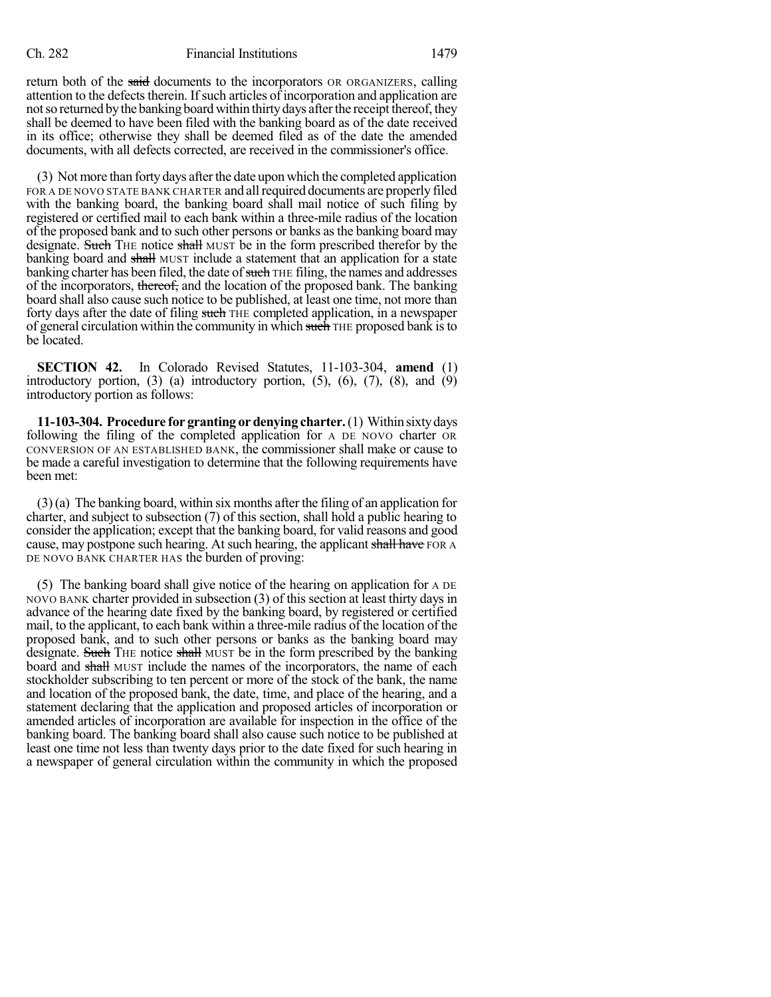return both of the said documents to the incorporators OR ORGANIZERS, calling attention to the defects therein. If such articles of incorporation and application are not so returned by the banking board within thirty days after the receipt thereof, they shall be deemed to have been filed with the banking board as of the date received in its office; otherwise they shall be deemed filed as of the date the amended documents, with all defects corrected, are received in the commissioner's office.

(3) Not more than forty days afterthe date upon which the completed application FOR A DE NOVO STATE BANK CHARTER and all required documents are properly filed with the banking board, the banking board shall mail notice of such filing by registered or certified mail to each bank within a three-mile radius of the location of the proposed bank and to such other persons or banks asthe banking board may designate. Such THE notice shall MUST be in the form prescribed therefor by the banking board and shall MUST include a statement that an application for a state banking charter has been filed, the date of such THE filing, the names and addresses of the incorporators, thereof, and the location of the proposed bank. The banking board shall also cause such notice to be published, at least one time, not more than forty days after the date of filing such THE completed application, in a newspaper of general circulation within the community in which such THE proposed bank is to be located.

**SECTION 42.** In Colorado Revised Statutes, 11-103-304, **amend** (1) introductory portion,  $(3)$   $(a)$  introductory portion,  $(5)$ ,  $(6)$ ,  $(7)$ ,  $(8)$ , and  $(9)$ introductory portion as follows:

**11-103-304. Procedure for granting or denying charter.**(1) Within sixtydays following the filing of the completed application for A DE NOVO charter OR CONVERSION OF AN ESTABLISHED BANK, the commissioner shall make or cause to be made a careful investigation to determine that the following requirements have been met:

(3)(a) The banking board, within six months after the filing of an application for charter, and subject to subsection (7) of this section, shall hold a public hearing to consider the application; except that the banking board, for valid reasons and good cause, may postpone such hearing. At such hearing, the applicant shall have FOR A DE NOVO BANK CHARTER HAS the burden of proving:

(5) The banking board shall give notice of the hearing on application for A DE NOVO BANK charter provided in subsection (3) of this section at least thirty days in advance of the hearing date fixed by the banking board, by registered or certified mail, to the applicant, to each bank within a three-mile radius of the location of the proposed bank, and to such other persons or banks as the banking board may designate. Such THE notice shall MUST be in the form prescribed by the banking board and shall MUST include the names of the incorporators, the name of each stockholder subscribing to ten percent or more of the stock of the bank, the name and location of the proposed bank, the date, time, and place of the hearing, and a statement declaring that the application and proposed articles of incorporation or amended articles of incorporation are available for inspection in the office of the banking board. The banking board shall also cause such notice to be published at least one time not less than twenty days prior to the date fixed for such hearing in a newspaper of general circulation within the community in which the proposed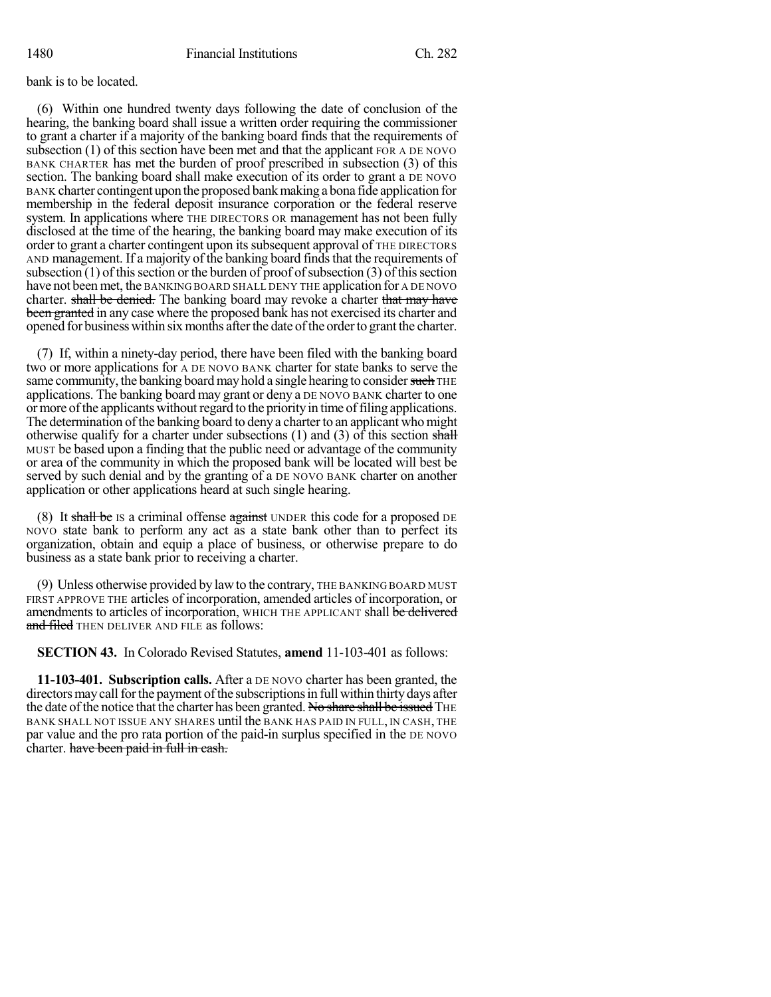bank is to be located.

(6) Within one hundred twenty days following the date of conclusion of the hearing, the banking board shall issue a written order requiring the commissioner to grant a charter if a majority of the banking board finds that the requirements of subsection (1) of this section have been met and that the applicant FOR A DE NOVO BANK CHARTER has met the burden of proof prescribed in subsection (3) of this section. The banking board shall make execution of its order to grant a DE NOVO BANK charter contingent upon the proposed bank making a bona fide application for membership in the federal deposit insurance corporation or the federal reserve system. In applications where THE DIRECTORS OR management has not been fully disclosed at the time of the hearing, the banking board may make execution of its order to grant a charter contingent upon itssubsequent approval of THE DIRECTORS AND management. If a majority of the banking board findsthat the requirements of subsection  $(1)$  of this section or the burden of proof of subsection  $(3)$  of this section have not been met, the BANKING BOARD SHALL DENY THE application for A DE NOVO charter. shall be denied. The banking board may revoke a charter that may have been granted in any case where the proposed bank has not exercised its charter and opened for business within six months after the date of the order to grant the charter.

(7) If, within a ninety-day period, there have been filed with the banking board two or more applications for A DE NOVO BANK charter for state banks to serve the same community, the banking board may hold a single hearing to consider such THE applications. The banking board may grant or deny a DE NOVO BANK charter to one or more of the applicants without regard to the priority in time of filing applications. The determination of the banking board to deny a charter to an applicant who might otherwise qualify for a charter under subsections  $(1)$  and  $(3)$  of this section shall MUST be based upon a finding that the public need or advantage of the community or area of the community in which the proposed bank will be located will best be served by such denial and by the granting of a DE NOVO BANK charter on another application or other applications heard at such single hearing.

(8) It shall be IS a criminal offense against UNDER this code for a proposed DE NOVO state bank to perform any act as a state bank other than to perfect its organization, obtain and equip a place of business, or otherwise prepare to do business as a state bank prior to receiving a charter.

(9) Unless otherwise provided by lawto the contrary, THE BANKING BOARD MUST FIRST APPROVE THE articles of incorporation, amended articles of incorporation, or amendments to articles of incorporation, WHICH THE APPLICANT shall be delivered and filed THEN DELIVER AND FILE as follows:

**SECTION 43.** In Colorado Revised Statutes, **amend** 11-103-401 as follows:

**11-103-401. Subscription calls.** After a DE NOVO charter has been granted, the directors may call for the payment of the subscriptions in full within thirty days after the date of the notice that the charter has been granted. No share shall be issued THE BANK SHALL NOT ISSUE ANY SHARES until the BANK HAS PAID IN FULL, IN CASH, THE par value and the pro rata portion of the paid-in surplus specified in the DE NOVO charter. have been paid in full in cash.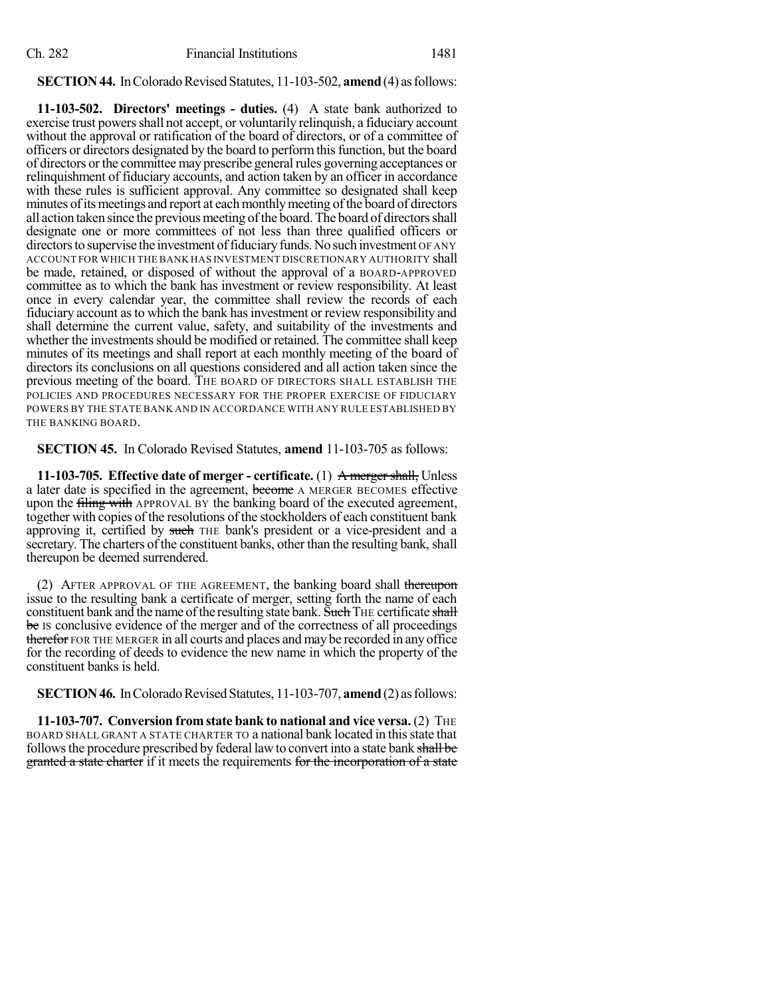## **SECTION 44.** In Colorado Revised Statutes, 11-103-502, **amend** (4) as follows:

**11-103-502. Directors' meetings - duties.** (4) A state bank authorized to exercise trust powers shall not accept, or voluntarily relinquish, a fiduciary account without the approval or ratification of the board of directors, or of a committee of officers or directors designated by the board to performthisfunction, but the board of directors or the committee may prescribe general rules governing acceptances or relinquishment of fiduciary accounts, and action taken by an officer in accordance with these rules is sufficient approval. Any committee so designated shall keep minutes of its meetings and report at each monthly meeting of the board of directors all action taken since the previous meeting of the board. The board of directors shall designate one or more committees of not less than three qualified officers or directors to supervise the investment of fiduciary funds. No such investment OF ANY ACCOUNT FOR WHICH THE BANK HAS INVESTMENT DISCRETIONARY AUTHORITY shall be made, retained, or disposed of without the approval of a BOARD-APPROVED committee as to which the bank has investment or review responsibility. At least once in every calendar year, the committee shall review the records of each fiduciary account asto which the bank hasinvestment or review responsibility and shall determine the current value, safety, and suitability of the investments and whether the investments should be modified or retained. The committee shall keep minutes of its meetings and shall report at each monthly meeting of the board of directors its conclusions on all questions considered and all action taken since the previous meeting of the board. THE BOARD OF DIRECTORS SHALL ESTABLISH THE POLICIES AND PROCEDURES NECESSARY FOR THE PROPER EXERCISE OF FIDUCIARY POWERS BY THE STATE BANK AND IN ACCORDANCE WITH ANY RULE ESTABLISHED BY THE BANKING BOARD.

**SECTION 45.** In Colorado Revised Statutes, **amend** 11-103-705 as follows:

**11-103-705. Effective date of merger - certificate.** (1) A mergershall, Unless a later date is specified in the agreement, become A MERGER BECOMES effective upon the filing with APPROVAL BY the banking board of the executed agreement, together with copies of the resolutions of the stockholders of each constituent bank approving it, certified by such THE bank's president or a vice-president and a secretary. The charters of the constituent banks, other than the resulting bank, shall thereupon be deemed surrendered.

(2) AFTER APPROVAL OF THE AGREEMENT, the banking board shall thereupon issue to the resulting bank a certificate of merger, setting forth the name of each constituent bank and the name of the resulting state bank. Such THE certificate shall be Is conclusive evidence of the merger and of the correctness of all proceedings therefor FOR THE MERGER in all courts and places and may be recorded in any office for the recording of deeds to evidence the new name in which the property of the constituent banks is held.

**SECTION 46.** In Colorado Revised Statutes, 11-103-707, **amend** (2) as follows:

**11-103-707. Conversion from state bank to national and vice versa.** (2) THE BOARD SHALL GRANT A STATE CHARTER TO a national bank located in thisstate that follows the procedure prescribed by federal law to convert into a state bank shall be granted a state charter if it meets the requirements for the incorporation of a state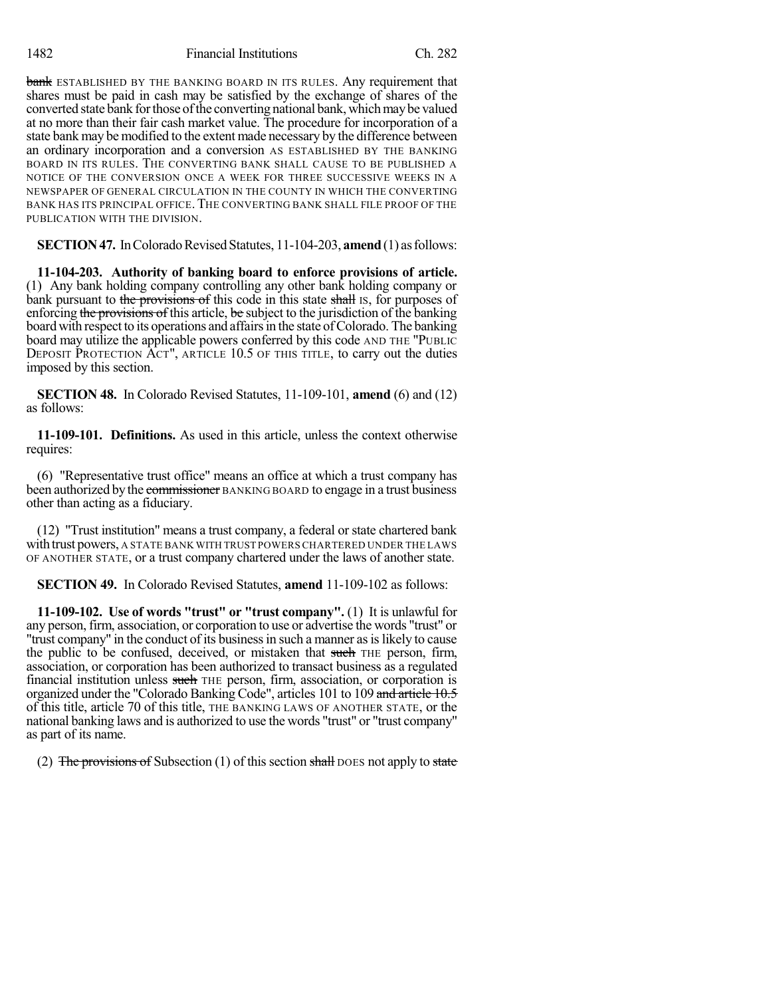bank ESTABLISHED BY THE BANKING BOARD IN ITS RULES. Any requirement that shares must be paid in cash may be satisfied by the exchange of shares of the converted state bank for those of the converting national bank, which may be valued at no more than their fair cash market value. The procedure for incorporation of a state bank may be modified to the extent made necessary by the difference between an ordinary incorporation and a conversion AS ESTABLISHED BY THE BANKING BOARD IN ITS RULES. THE CONVERTING BANK SHALL CAUSE TO BE PUBLISHED A NOTICE OF THE CONVERSION ONCE A WEEK FOR THREE SUCCESSIVE WEEKS IN A NEWSPAPER OF GENERAL CIRCULATION IN THE COUNTY IN WHICH THE CONVERTING BANK HAS ITS PRINCIPAL OFFICE. THE CONVERTING BANK SHALL FILE PROOF OF THE PUBLICATION WITH THE DIVISION.

**SECTION 47.** In Colorado Revised Statutes, 11-104-203, **amend** (1) as follows:

**11-104-203. Authority of banking board to enforce provisions of article.** (1) Any bank holding company controlling any other bank holding company or bank pursuant to the provisions of this code in this state shall IS, for purposes of enforcing the provisions of this article, be subject to the jurisdiction of the banking board with respect to its operations and affairs in the state of Colorado. The banking board may utilize the applicable powers conferred by this code AND THE "PUBLIC DEPOSIT PROTECTION ACT", ARTICLE 10.5 OF THIS TITLE, to carry out the duties imposed by this section.

**SECTION 48.** In Colorado Revised Statutes, 11-109-101, **amend** (6) and (12) as follows:

**11-109-101. Definitions.** As used in this article, unless the context otherwise requires:

(6) "Representative trust office" means an office at which a trust company has been authorized by the commissioner BANKING BOARD to engage in a trust business other than acting as a fiduciary.

(12) "Trust institution" means a trust company, a federal orstate chartered bank with trust powers, A STATE BANK WITH TRUST POWERS CHARTERED UNDER THE LAWS OF ANOTHER STATE, or a trust company chartered under the laws of another state.

**SECTION 49.** In Colorado Revised Statutes, **amend** 11-109-102 as follows:

**11-109-102. Use of words "trust" or "trust company".** (1) It is unlawful for any person, firm, association, or corporation to use or advertise the words "trust" or "trust company" in the conduct of its business in such a manner as is likely to cause the public to be confused, deceived, or mistaken that such THE person, firm, association, or corporation has been authorized to transact business as a regulated financial institution unless such THE person, firm, association, or corporation is organized under the "Colorado Banking Code", articles 101 to 109 and article 10.5 of this title, article 70 of this title, THE BANKING LAWS OF ANOTHER STATE, or the national banking laws and is authorized to use the words "trust" or "trust company" as part of its name.

(2) The provisions of Subsection  $(1)$  of this section shall DOES not apply to state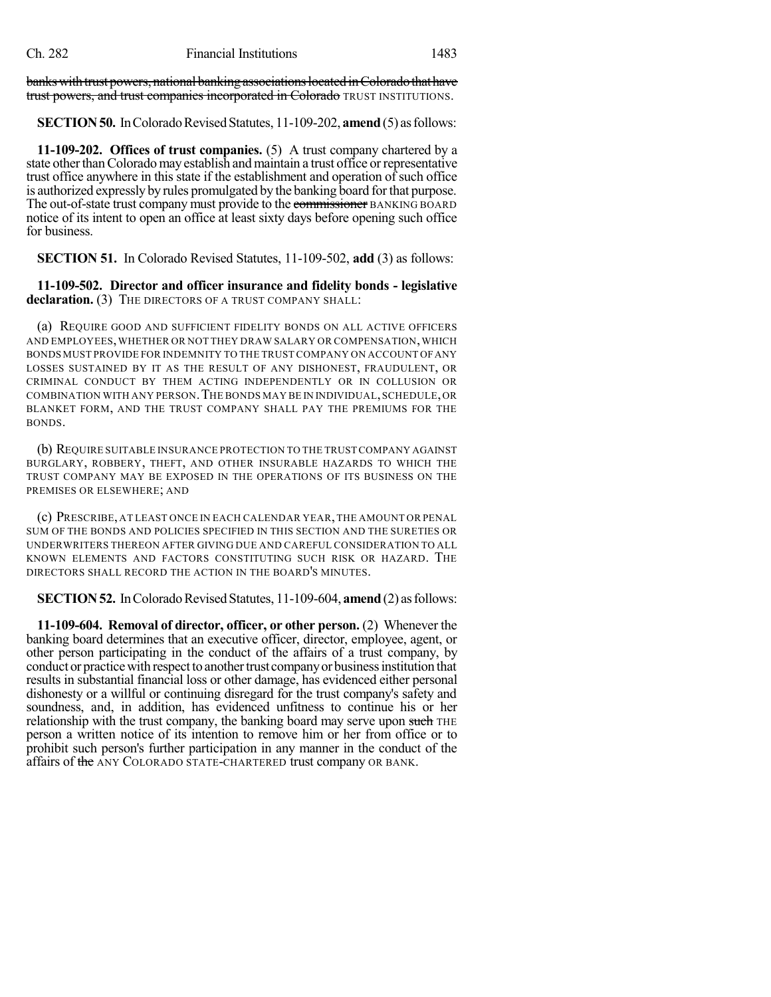banks with trust powers, national banking associations located in Colorado that have trust powers, and trust companies incorporated in Colorado TRUST INSTITUTIONS.

**SECTION 50.** In Colorado Revised Statutes, 11-109-202, **amend** (5) as follows:

**11-109-202. Offices of trust companies.** (5) A trust company chartered by a state other than Colorado may establish and maintain a trust office or representative trust office anywhere in this state if the establishment and operation of such office is authorized expressly by rules promulgated by the banking board forthat purpose. The out-of-state trust company must provide to the commissioner BANKING BOARD notice of its intent to open an office at least sixty days before opening such office for business.

**SECTION 51.** In Colorado Revised Statutes, 11-109-502, **add** (3) as follows:

**11-109-502. Director and officer insurance and fidelity bonds - legislative** declaration. (3) THE DIRECTORS OF A TRUST COMPANY SHALL:

(a) REQUIRE GOOD AND SUFFICIENT FIDELITY BONDS ON ALL ACTIVE OFFICERS AND EMPLOYEES,WHETHER OR NOT THEY DRAW SALARY OR COMPENSATION,WHICH BONDS MUST PROVIDE FOR INDEMNITY TO THE TRUSTCOMPANY ON ACCOUNT OFANY LOSSES SUSTAINED BY IT AS THE RESULT OF ANY DISHONEST, FRAUDULENT, OR CRIMINAL CONDUCT BY THEM ACTING INDEPENDENTLY OR IN COLLUSION OR COMBINATION WITH ANY PERSON.THE BONDS MAY BE IN INDIVIDUAL,SCHEDULE,OR BLANKET FORM, AND THE TRUST COMPANY SHALL PAY THE PREMIUMS FOR THE BONDS.

(b) REQUIRE SUITABLE INSURANCE PROTECTION TO THE TRUST COMPANY AGAINST BURGLARY, ROBBERY, THEFT, AND OTHER INSURABLE HAZARDS TO WHICH THE TRUST COMPANY MAY BE EXPOSED IN THE OPERATIONS OF ITS BUSINESS ON THE PREMISES OR ELSEWHERE; AND

(c) PRESCRIBE, AT LEAST ONCE IN EACH CALENDAR YEAR,THE AMOUNT OR PENAL SUM OF THE BONDS AND POLICIES SPECIFIED IN THIS SECTION AND THE SURETIES OR UNDERWRITERS THEREON AFTER GIVING DUE AND CAREFUL CONSIDERATION TO ALL KNOWN ELEMENTS AND FACTORS CONSTITUTING SUCH RISK OR HAZARD. THE DIRECTORS SHALL RECORD THE ACTION IN THE BOARD'S MINUTES.

**SECTION 52.** In Colorado Revised Statutes, 11-109-604, **amend** (2) as follows:

**11-109-604. Removal of director, officer, or other person.** (2) Whenever the banking board determines that an executive officer, director, employee, agent, or other person participating in the conduct of the affairs of a trust company, by conduct or practice with respect to another trust company or business institution that results in substantial financial loss or other damage, has evidenced either personal dishonesty or a willful or continuing disregard for the trust company's safety and soundness, and, in addition, has evidenced unfitness to continue his or her relationship with the trust company, the banking board may serve upon such THE person a written notice of its intention to remove him or her from office or to prohibit such person's further participation in any manner in the conduct of the affairs of the ANY COLORADO STATE-CHARTERED trust company OR BANK.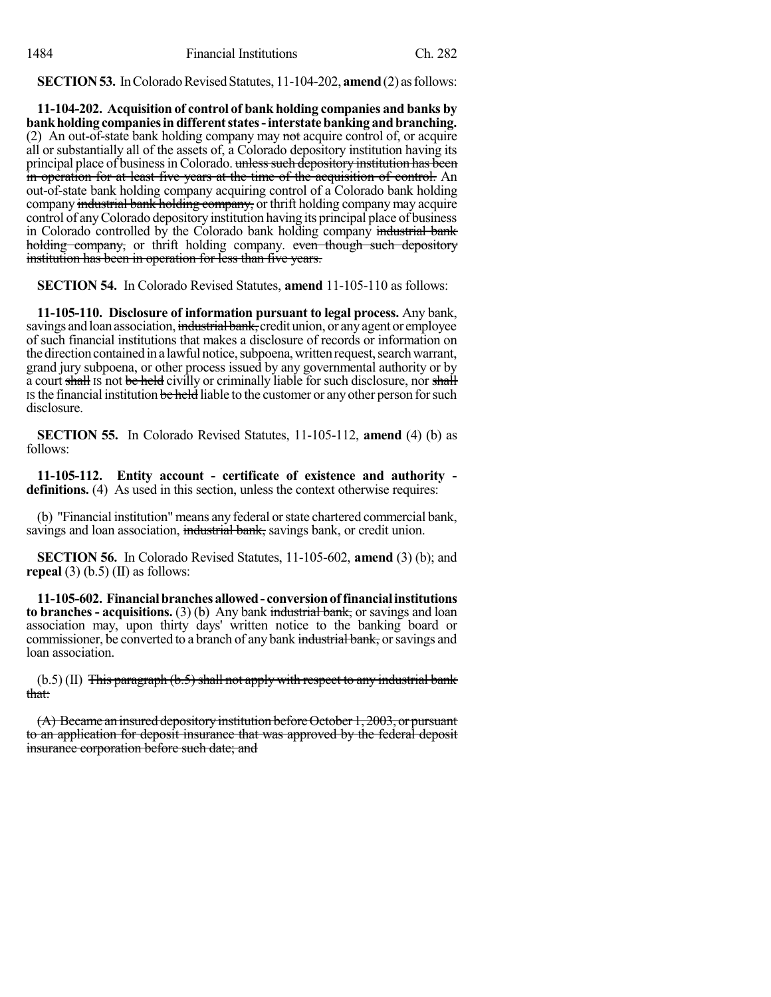**SECTION 53.** In Colorado Revised Statutes, 11-104-202, **amend** (2) as follows:

**11-104-202. Acquisition of control of bank holding companies and banks by bankholding companiesindifferentstates-interstatebanking andbranching.** (2) An out-of-state bank holding company may not acquire control of, or acquire all or substantially all of the assets of, a Colorado depository institution having its principal place of business in Colorado. unless such depository institution has been in operation for at least five years at the time of the acquisition of control. An out-of-state bank holding company acquiring control of a Colorado bank holding company industrial bank holding company, or thrift holding company may acquire control of anyColorado depository institution having its principal place of business in Colorado controlled by the Colorado bank holding company industrial bank holding company, or thrift holding company. even though such depository institution has been in operation for less than five years.

**SECTION 54.** In Colorado Revised Statutes, **amend** 11-105-110 as follows:

**11-105-110. Disclosure of information pursuant to legal process.** Any bank, savings and loan association, industrial bank, credit union, or any agent or employee of such financial institutions that makes a disclosure of records or information on the direction contained in a lawful notice, subpoena, written request, search warrant, grand jury subpoena, or other process issued by any governmental authority or by a court shall is not be held civilly or criminally liable for such disclosure, nor shall IS the financial institution be held liable to the customer or any other person for such disclosure.

**SECTION 55.** In Colorado Revised Statutes, 11-105-112, **amend** (4) (b) as follows:

**11-105-112. Entity account - certificate of existence and authority definitions.** (4) As used in this section, unless the context otherwise requires:

(b) "Financial institution" means any federal orstate chartered commercial bank, savings and loan association, industrial bank, savings bank, or credit union.

**SECTION 56.** In Colorado Revised Statutes, 11-105-602, **amend** (3) (b); and **repeal** (3) (b.5) (II) as follows:

**11-105-602. Financialbranchesallowed- conversionof financialinstitutions to branches - acquisitions.** (3) (b) Any bank industrial bank, or savings and loan association may, upon thirty days' written notice to the banking board or commissioner, be converted to a branch of any bank industrial bank, or savings and loan association.

 $(b.5)$  (II) This paragraph  $(b.5)$  shall not apply with respect to any industrial bank that:

(A) Became an insured depositoryinstitution beforeOctober 1, 2003, or pursuant to an application for deposit insurance that was approved by the federal deposit insurance corporation before such date; and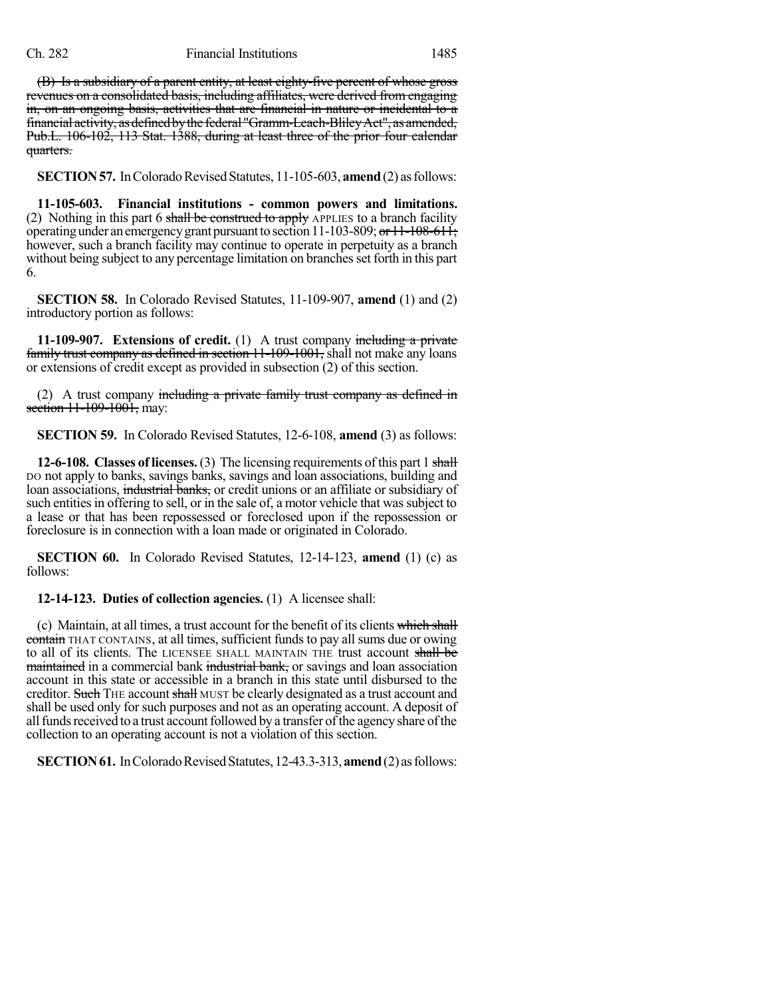(B) Is a subsidiary of a parent entity, at least eighty-five percent of whose gross revenues on a consolidated basis, including affiliates, were derived from engaging in, on an ongoing basis, activities that are financial in nature or incidental to a financial activity, asdefinedbythe federal "Gramm-Leach-BlileyAct", as amended, Pub.L. 106-102, 113 Stat. 1388, during at least three of the prior four calendar quarters.

**SECTION 57.** In Colorado Revised Statutes, 11-105-603, **amend** (2) as follows:

**11-105-603. Financial institutions - common powers and limitations.** (2) Nothing in this part 6 shall be construed to apply APPLIES to a branch facility operating under an emergency grant pursuant to section 11-103-809; or  $11$ -108-611; however, such a branch facility may continue to operate in perpetuity as a branch without being subject to any percentage limitation on branches set forth in this part 6.

**SECTION 58.** In Colorado Revised Statutes, 11-109-907, **amend** (1) and (2) introductory portion as follows:

**11-109-907.** Extensions of credit. (1) A trust company including a private family trust company as defined in section 11-109-1001, shall not make any loans or extensions of credit except as provided in subsection (2) of this section.

(2) A trust company including a private family trust company as defined in section 11-109-1001, may:

**SECTION 59.** In Colorado Revised Statutes, 12-6-108, **amend** (3) as follows:

**12-6-108. Classes of licenses.**(3) The licensing requirements ofthis part 1 shall DO not apply to banks, savings banks, savings and loan associations, building and loan associations, industrial banks, or credit unions or an affiliate or subsidiary of such entities in offering to sell, or in the sale of, a motor vehicle that was subject to a lease or that has been repossessed or foreclosed upon if the repossession or foreclosure is in connection with a loan made or originated in Colorado.

**SECTION 60.** In Colorado Revised Statutes, 12-14-123, **amend** (1) (c) as follows:

**12-14-123. Duties of collection agencies.** (1) A licensee shall:

(c) Maintain, at all times, a trust account for the benefit of its clients which shall contain THAT CONTAINS, at all times, sufficient funds to pay all sums due or owing to all of its clients. The LICENSEE SHALL MAINTAIN THE trust account shall be maintained in a commercial bank industrial bank, or savings and loan association account in this state or accessible in a branch in this state until disbursed to the creditor. Such THE account shall MUST be clearly designated as a trust account and shall be used only for such purposes and not as an operating account. A deposit of all funds received to a trust account followed by a transfer of the agency share of the collection to an operating account is not a violation of this section.

**SECTION 61.** In Colorado Revised Statutes, 12-43.3-313, amend (2) as follows: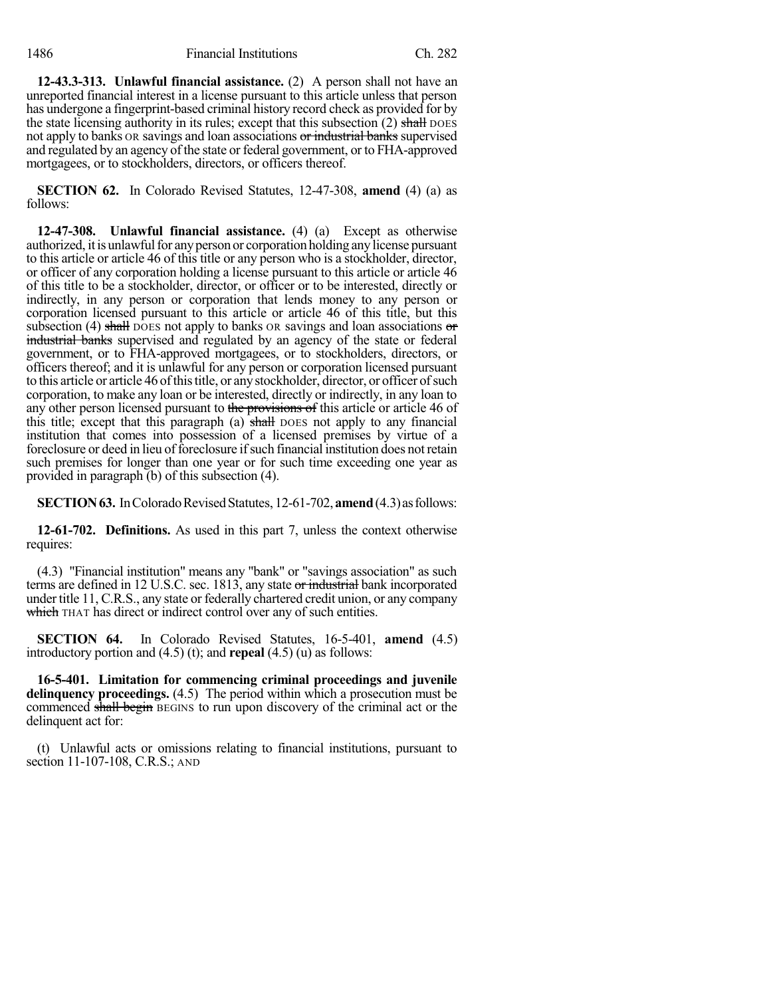**12-43.3-313. Unlawful financial assistance.** (2) A person shall not have an unreported financial interest in a license pursuant to this article unless that person has undergone a fingerprint-based criminal history record check as provided for by the state licensing authority in its rules; except that this subsection  $(2)$  shall DOES not apply to banks OR savings and loan associations or industrial banks supervised and regulated by an agency of the state or federal government, or to FHA-approved mortgagees, or to stockholders, directors, or officers thereof.

**SECTION 62.** In Colorado Revised Statutes, 12-47-308, **amend** (4) (a) as follows:

**12-47-308. Unlawful financial assistance.** (4) (a) Except as otherwise authorized, itisunlawfulfor anyperson or corporation holding anylicense pursuant to this article or article 46 of this title or any person who is a stockholder, director, or officer of any corporation holding a license pursuant to this article or article 46 of this title to be a stockholder, director, or officer or to be interested, directly or indirectly, in any person or corporation that lends money to any person or corporation licensed pursuant to this article or article 46 of this title, but this subsection (4) shall DOES not apply to banks OR savings and loan associations  $\sigma$ industrial banks supervised and regulated by an agency of the state or federal government, or to FHA-approved mortgagees, or to stockholders, directors, or officers thereof; and it is unlawful for any person or corporation licensed pursuant to this article or article 46 of this title, or any stockholder, director, or officer of such corporation, to make any loan or be interested, directly or indirectly, in any loan to any other person licensed pursuant to the provisions of this article or article 46 of this title; except that this paragraph (a) shall DOES not apply to any financial institution that comes into possession of a licensed premises by virtue of a foreclosure or deed in lieu of foreclosure if such financial institution does not retain such premises for longer than one year or for such time exceeding one year as provided in paragraph (b) of this subsection (4).

**SECTION 63.** In Colorado Revised Statutes, 12-61-702, **amend** (4.3) as follows:

**12-61-702. Definitions.** As used in this part 7, unless the context otherwise requires:

(4.3) "Financial institution" means any "bank" or "savings association" as such terms are defined in 12 U.S.C. sec. 1813, any state or industrial bank incorporated under title 11, C.R.S., any state or federally chartered credit union, or any company which THAT has direct or indirect control over any of such entities.

**SECTION 64.** In Colorado Revised Statutes, 16-5-401, **amend** (4.5) introductory portion and (4.5) (t); and **repeal** (4.5) (u) as follows:

**16-5-401. Limitation for commencing criminal proceedings and juvenile delinquency proceedings.** (4.5) The period within which a prosecution must be commenced shall begin BEGINS to run upon discovery of the criminal act or the delinquent act for:

(t) Unlawful acts or omissions relating to financial institutions, pursuant to section 11-107-108, C.R.S.; AND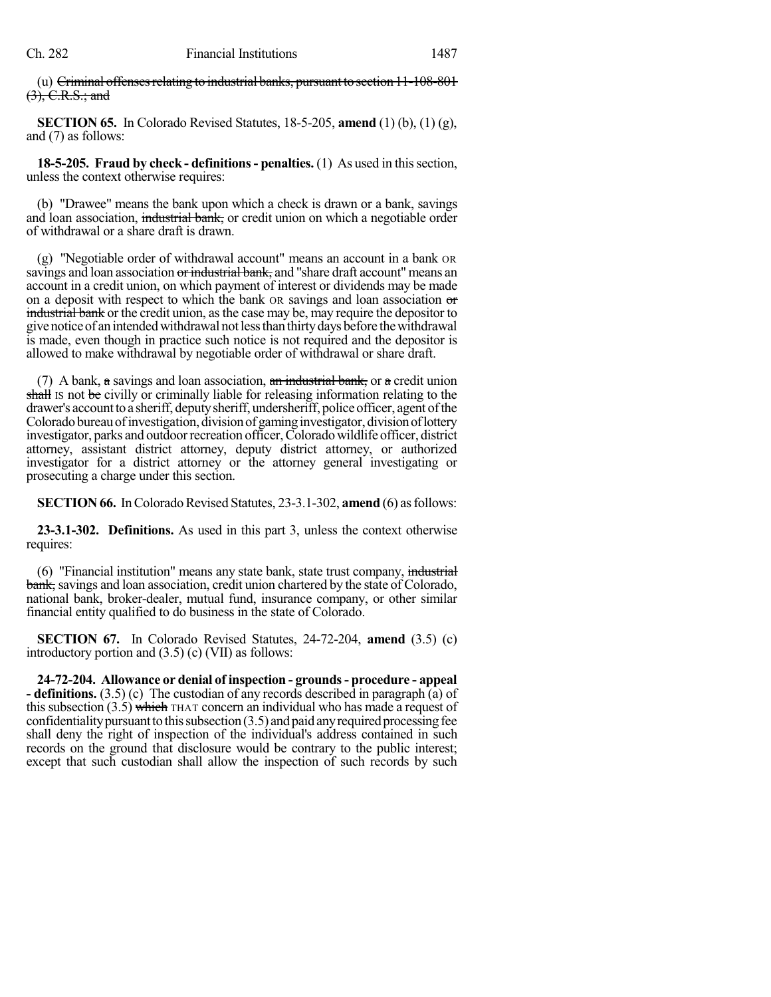(u)  $C$ riminal offenses relating to industrial banks, pursuant to section  $11-108-801$ (3), C.R.S.; and

**SECTION 65.** In Colorado Revised Statutes, 18-5-205, **amend** (1) (b), (1) (g), and (7) as follows:

**18-5-205. Fraud by check - definitions- penalties.** (1) As used in thissection, unless the context otherwise requires:

(b) "Drawee" means the bank upon which a check is drawn or a bank, savings and loan association, industrial bank, or credit union on which a negotiable order of withdrawal or a share draft is drawn.

(g) "Negotiable order of withdrawal account" means an account in a bank OR savings and loan association or industrial bank, and "share draft account" means an account in a credit union, on which payment of interest or dividends may be made on a deposit with respect to which the bank OR savings and loan association or industrial bank or the credit union, as the case may be, may require the depositor to givenoticeof anintendedwithdrawal notlessthan thirtydays before thewithdrawal is made, even though in practice such notice is not required and the depositor is allowed to make withdrawal by negotiable order of withdrawal or share draft.

(7) A bank,  $\alpha$  savings and loan association,  $\alpha$ n industrial bank, or  $\alpha$  credit union shall is not be civilly or criminally liable for releasing information relating to the drawer's account to a sheriff, deputy sheriff, undersheriff, police officer, agent of the Colorado bureau of investigation, division of gaming investigator, division of lottery investigator, parks and outdoor recreation officer, Colorado wildlife officer, district attorney, assistant district attorney, deputy district attorney, or authorized investigator for a district attorney or the attorney general investigating or prosecuting a charge under this section.

**SECTION 66.** In Colorado Revised Statutes, 23-3.1-302, **amend** (6) as follows:

**23-3.1-302. Definitions.** As used in this part 3, unless the context otherwise requires:

(6) "Financial institution" means any state bank, state trust company, industrial bank, savings and loan association, credit union chartered by the state of Colorado, national bank, broker-dealer, mutual fund, insurance company, or other similar financial entity qualified to do business in the state of Colorado.

**SECTION 67.** In Colorado Revised Statutes, 24-72-204, **amend** (3.5) (c) introductory portion and (3.5) (c) (VII) as follows:

**24-72-204. Allowance or denial of inspection - grounds- procedure - appeal - definitions.** (3.5) (c) The custodian of any records described in paragraph (a) of this subsection  $(3.5)$  which THAT concern an individual who has made a request of confidentiality pursuant to this subsection  $(3.5)$  and paid any required processing fee shall deny the right of inspection of the individual's address contained in such records on the ground that disclosure would be contrary to the public interest; except that such custodian shall allow the inspection of such records by such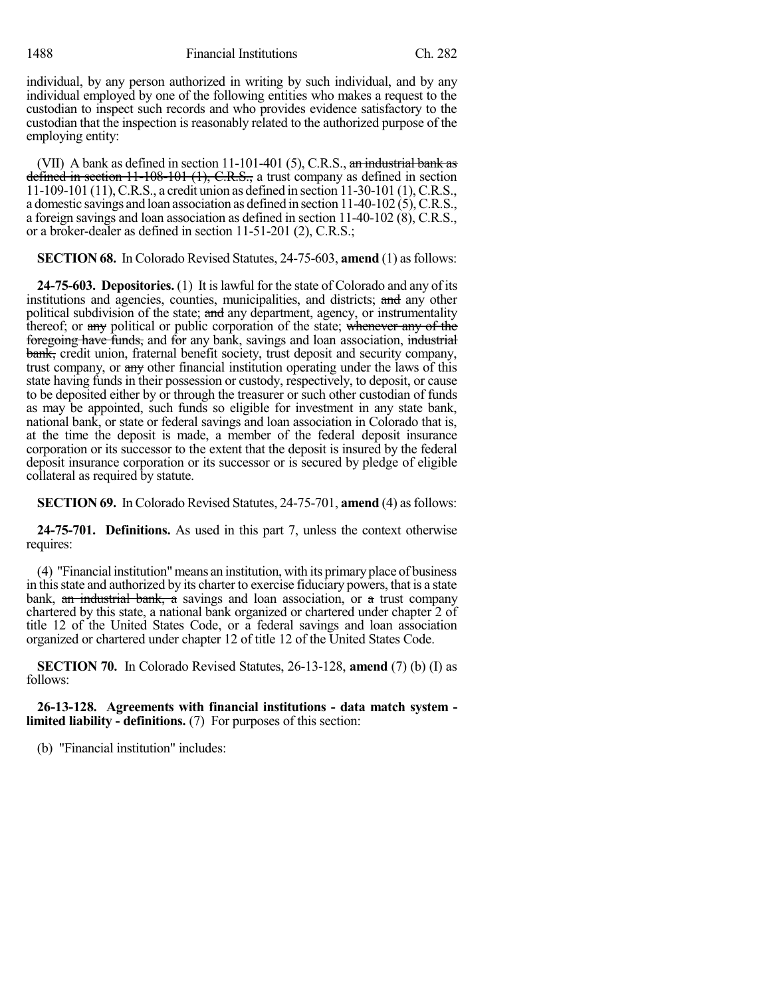1488 Financial Institutions Ch. 282

individual, by any person authorized in writing by such individual, and by any individual employed by one of the following entities who makes a request to the custodian to inspect such records and who provides evidence satisfactory to the custodian that the inspection is reasonably related to the authorized purpose of the employing entity:

(VII) A bank as defined in section  $11-101-401$  (5), C.R.S., an industrial bank as defined in section 11-108-101 (1), C.R.S., a trust company as defined in section 11-109-101 (11),C.R.S., a credit union as defined in section 11-30-101 (1),C.R.S., a domestic savings and loan association as defined in section 11-40-102 (5),C.R.S., a foreign savings and loan association as defined in section 11-40-102 (8), C.R.S., or a broker-dealer as defined in section 11-51-201 (2), C.R.S.;

**SECTION 68.** In Colorado Revised Statutes, 24-75-603, **amend** (1) as follows:

**24-75-603. Depositories.** (1) It islawful for the state of Colorado and any of its institutions and agencies, counties, municipalities, and districts; and any other political subdivision of the state; and any department, agency, or instrumentality thereof; or any political or public corporation of the state; whenever any of the foregoing have funds, and for any bank, savings and loan association, industrial bank, credit union, fraternal benefit society, trust deposit and security company, trust company, or any other financial institution operating under the laws of this state having funds in their possession or custody, respectively, to deposit, or cause to be deposited either by or through the treasurer or such other custodian of funds as may be appointed, such funds so eligible for investment in any state bank, national bank, or state or federal savings and loan association in Colorado that is, at the time the deposit is made, a member of the federal deposit insurance corporation or its successor to the extent that the deposit is insured by the federal deposit insurance corporation or its successor or is secured by pledge of eligible collateral as required by statute.

**SECTION 69.** In Colorado Revised Statutes, 24-75-701, **amend** (4) as follows:

**24-75-701. Definitions.** As used in this part 7, unless the context otherwise requires:

(4) "Financial institution"means an institution, with its primary place of business in thisstate and authorized by its charter to exercise fiduciary powers, that is a state bank,  $\theta$  industrial bank, a savings and loan association, or a trust company chartered by this state, a national bank organized or chartered under chapter 2 of title 12 of the United States Code, or a federal savings and loan association organized or chartered under chapter 12 of title 12 of the United States Code.

**SECTION 70.** In Colorado Revised Statutes, 26-13-128, **amend** (7) (b) (I) as follows:

**26-13-128. Agreements with financial institutions - data match system limited liability - definitions.** (7) For purposes of this section:

(b) "Financial institution" includes: